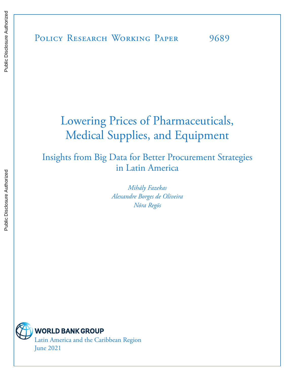# Lowering Prices of Pharmaceuticals, Medical Supplies, and Equipment

### Insights from Big Data for Better Procurement Strategies in Latin America

*Mihály Fazekas Alexandre Borges de Oliveira Nóra Regös*

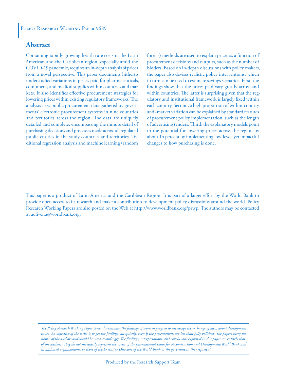#### **Abstract**

Containing rapidly growing health care costs in the Latin American and the Caribbean region, especially amid the COVID-19 pandemic, requires an in-depth analysis of prices from a novel perspective. This paper documents hitherto understudied variations in prices paid for pharmaceuticals, equipment, and medical supplies within countries and markets. It also identifies effective procurement strategies for lowering prices within existing regulatory frameworks. The analysis uses public procurement data gathered by governments' electronic procurement systems in nine countries and territories across the region. The data are uniquely detailed and complete, encompassing the minute detail of purchasing decisions and processes made across all regulated public entities in the study countries and territories. Traditional regression analysis and machine learning (random

forests) methods are used to explain prices as a function of procurement decisions and outputs, such as the number of bidders. Based on in-depth discussions with policy makers, the paper also devises realistic policy interventions, which in turn can be used to estimate savings scenarios. First, the findings show that the prices paid vary greatly across and within countries. The latter is surprising given that the regulatory and institutional framework is largely fixed within each country. Second, a high proportion of within-country and -market variation can be explained by standard features of procurement policy implementation, such as the length of advertising tenders. Third, the explanatory models point to the potential for lowering prices across the region by about 14 percent by implementing low-level, yet impactful changes to how purchasing is done.

*The Policy Research Working Paper Series disseminates the findings of work in progress to encourage the exchange of ideas about development*  issues. An objective of the series is to get the findings out quickly, even if the presentations are less than fully polished. The papers carry the *names of the authors and should be cited accordingly. The findings, interpretations, and conclusions expressed in this paper are entirely those of the authors. They do not necessarily represent the views of the International Bank for Reconstruction and Development/World Bank and its affiliated organizations, or those of the Executive Directors of the World Bank or the governments they represent.*

This paper is a product of Latin America and the Caribbean Region. It is part of a larger effort by the World Bank to provide open access to its research and make a contribution to development policy discussions around the world. Policy Research Working Papers are also posted on the Web at http://www.worldbank.org/prwp. The authors may be contacted at aoliveira@worldbank.org.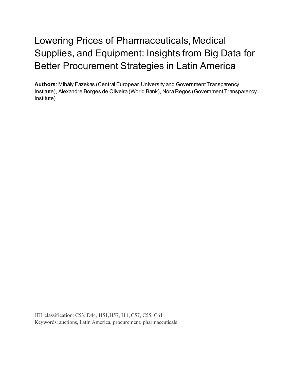# Lowering Prices of Pharmaceuticals, Medical Supplies, and Equipment: Insights from Big Data for Better Procurement Strategies in Latin America

**Authors**: Mihály Fazekas (Central European University and Government Transparency Institute), Alexandre Borges de Oliveira (World Bank), Nóra Regös (Government Transparency Institute)

JEL classification: C53, D44, H51,H57, I11, C57, C55, C61 Keywords: auctions, Latin America, procurement, pharmaceuticals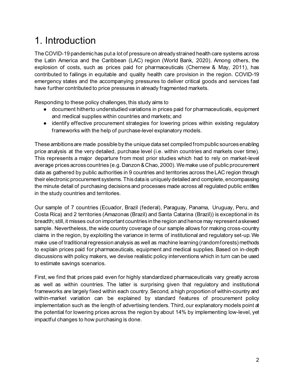# 1. Introduction

The COVID-19 pandemic has put a lot of pressure on already strained health care systems across the Latin America and the Caribbean (LAC) region (World Bank, 2020). Among others, the explosion of costs, such as prices paid for pharmaceuticals (Chernew & May, 2011), has contributed to failings in equitable and quality health care provision in the region. COVID-19 emergency states and the accompanying pressures to deliver critical goods and services fast have further contributed to price pressures in already fragmented markets.

Responding to these policy challenges, this study aims to

- document hitherto understudied variations in prices paid for pharmaceuticals, equipment and medical supplies within countries and markets; and
- identify effective procurement strategies for lowering prices within existing regulatory frameworks with the help of purchase-level explanatory models.

These ambitions are made possible by the unique data set compiled from public sources enabling price analysis at the very detailed, purchase level (i.e. within countries and markets over time). This represents a major departure from most prior studies which had to rely on market-level average prices across countries (e.g. Danzon & Chao, 2000). We make use of public procurement data as gathered by public authorities in 9 countries and territories across the LAC region through their electronic procurement systems. This data is uniquely detailed and complete, encompassing the minute detail of purchasing decisions and processes made across all regulated public entities in the study countries and territories.

Our sample of 7 countries (Ecuador, Brazil (federal), Paraguay, Panama, Uruguay, Peru, and Costa Rica) and 2 territories (Amazonas (Brazil) and Santa Catarina (Brazil)) is exceptional in its breadth; still, it misses out on important countries in the region and hence may represent a skewed sample. Nevertheless, the wide country coverage of our sample allows for making cross-country claims in the region, by exploiting the variance in terms of institutional and regulatory set-up. We make use of traditional regression analysis as well as machine learning (random forests) methods to explain prices paid for pharmaceuticals, equipment and medical supplies. Based on in-depth discussions with policy makers, we devise realistic policy interventions which in turn can be used to estimate savings scenarios.

First, we find that prices paid even for highly standardized pharmaceuticals vary greatly across as well as within countries. The latter is surprising given that regulatory and institutional frameworks are largely fixed within each country. Second, a high proportion of within-country and within-market variation can be explained by standard features of procurement policy implementation such as the length of advertising tenders. Third, our explanatory models point at the potential for lowering prices across the region by about 14% by implementing low-level, yet impactful changes to how purchasing is done.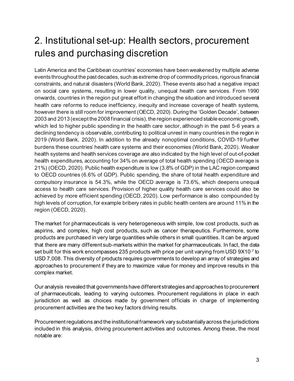# 2. Institutional set-up: Health sectors, procurement rules and purchasing discretion

Latin America and the Caribbean countries' economies have been weakened by multiple adverse events throughout the past decades, such as extreme drop of commodity prices, rigorous financial constraints, and natural disasters (World Bank, 2020). These events also had a negative impact on social care systems, resulting in lower quality, unequal health care services. From 1990 onwards, countries in the region put great effort in changing the situation and introduced several health care reforms to reduce inefficiency, inequity and increase coverage of health systems, however there is still room for improvement (OECD, 2020). During the 'Golden Decade', between 2003 and 2013 (except the 2008 financial crisis), the region experienced stable economic growth, which led to higher public spending in the health care sector, although in the past 5-6 years a declining tendency is observable, contributing to political unrest in many countries in the region in 2019 (World Bank, 2020). In addition to the already nonoptimal conditions, COVID-19 further burdens these countries' health care systems and their economies (World Bank, 2020). Weaker health systems and health services coverage are also indicated by the high level of out-of-pocket health expenditures, accounting for 34% on average of total health spending (OECD average is 21%) (OECD, 2020). Public health expenditure is low (3.8% of GDP) in the LAC region compared to OECD countries (6.6% of GDP). Public spending, the share of total health expenditure and compulsory insurance is 54.3%, while the OECD average is 73.6%, which deepens unequal access to health care services. Provision of higher quality health care services could also be achieved by more efficient spending (OECD, 2020). Low performance is also compounded by high levels of corruption, for example bribery rates in public health centers are around 11% in the region (OECD, 2020).

The market for pharmaceuticals is very heterogeneous with simple, low cost products, such as aspirins, and complex, high cost products, such as cancer therapeutics. Furthermore, some products are purchased in very large quantities while others in small quantities. It can be argued that there are many different sub-markets within the market for pharmaceuticals. In fact, the data set built for this work encompasses 235 products with price per unit varying from USD 9X10<sup>-7</sup> to USD 7,008. This diversity of products requires governments to develop an array of strategies and approaches to procurement if they are to maximize value for money and improve results in this complex market.

Our analysis revealed that governments have different strategies and approaches to procurement of pharmaceuticals, leading to varying outcomes. Procurement regulations in place in each jurisdiction as well as choices made by government officials in charge of implementing procurement activities are the two key factors driving results.

Procurement regulations and the institutional framework vary substantially across the jurisdictions included in this analysis, driving procurement activities and outcomes. Among these, the most notable are: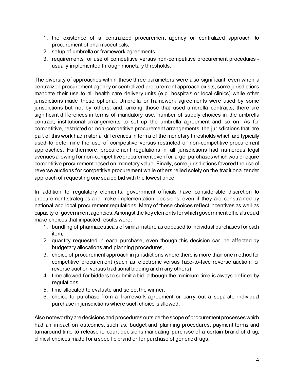- 1. the existence of a centralized procurement agency or centralized approach to procurement of pharmaceuticals,
- 2. setup of umbrella or framework agreements,
- 3. requirements for use of competitive versus non-competitive procurement procedures usually implemented through monetary thresholds.

The diversity of approaches within these three parameters were also significant: even when a centralized procurement agency or centralized procurement approach exists, some jurisdictions mandate their use to all health care delivery units (e.g. hospitals or local clinics) while other jurisdictions made these optional. Umbrella or framework agreements were used by some jurisdictions but not by others; and, among those that used umbrella contracts, there are significant differences in terms of mandatory use, number of supply choices in the umbrella contract, institutional arrangements to set up the umbrella agreement and so on. As for competitive, restricted or non-competitive procurement arrangements, the jurisdictions that are part of this work had material differences in terms of the monetary thresholds which are typically used to determine the use of competitive versus restricted or non-competitive procurement approaches. Furthermore, procurement regulations in all jurisdictions had numerous legal avenues allowing for non-competitive procurement even for larger purchases which would require competitive procurement based on monetary value. Finally, some jurisdictions favored the use of reverse auctions for competitive procurement while others relied solely on the traditional tender approach of requesting one sealed bid with the lowest price.

In addition to regulatory elements, government officials have considerable discretion to procurement strategies and make implementation decisions, even if they are constrained by national and local procurement regulations. Many of these choices reflect incentives as well as capacity of government agencies. Amongst the key elements for which government officials could make choices that impacted results were:

- 1. bundling of pharmaceuticals of similar nature as opposed to individual purchases for each item,
- 2. quantity requested in each purchase, even though this decision can be affected by budgetary allocations and planning procedures,
- 3. choice of procurement approach in jurisdictions where there is more than one method for competitive procurement (such as electronic versus face-to-face reverse auction, or reverse auction versus traditional bidding and many others),
- 4. time allowed for bidders to submit a bid, although the minimum time is always defined by regulations,
- 5. time allocated to evaluate and select the winner,
- 6. choice to purchase from a framework agreement or carry out a separate individual purchase in jurisdictions where such choice is allowed.

Also noteworthy are decisions and procedures outside the scope of procurement processes which had an impact on outcomes, such as: budget and planning procedures, payment terms and turnaround time to release it, court decisions mandating purchase of a certain brand of drug, clinical choices made for a specific brand or for purchase of generic drugs.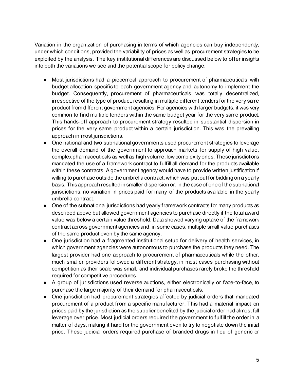Variation in the organization of purchasing in terms of which agencies can buy independently, under which conditions, provided the variability of prices as well as procurement strategies to be exploited by the analysis. The key institutional differences are discussed below to offer insights into both the variations we see and the potential scope for policy change:

- Most jurisdictions had a piecemeal approach to procurement of pharmaceuticals with budget allocation specific to each government agency and autonomy to implement the budget. Consequently, procurement of pharmaceuticals was totally decentralized, irrespective of the type of product, resulting in multiple different tenders for the very same product from different government agencies. For agencies with larger budgets, it was very common to find multiple tenders within the same budget year for the very same product. This hands-off approach to procurement strategy resulted in substantial dispersion in prices for the very same product within a certain jurisdiction. This was the prevailing approach in most jurisdictions.
- One national and two subnational governments used procurement strategies to leverage the overall demand of the government to approach markets for supply of high value, complex pharmaceuticals as well as high volume, low complexity ones. These jurisdictions mandated the use of a framework contract to fulfill all demand for the products available within these contracts. A government agency would have to provide written justification if willing to purchase outside the umbrella contract, which was put out for bidding on a yearly basis. This approach resulted in smaller dispersion or, in the case of one of the subnational jurisdictions, no variation in prices paid for many of the products available in the yearly umbrella contract.
- One of the subnational jurisdictions had yearly framework contracts for many products as described above but allowed government agencies to purchase directly if the total award value was below a certain value threshold. Data showed varying uptake of the framework contract across government agencies and, in some cases, multiple small value purchases of the same product even by the same agency.
- One jurisdiction had a fragmented institutional setup for delivery of health services, in which government agencies were autonomous to purchase the products they need. The largest provider had one approach to procurement of pharmaceuticals while the other, much smaller providers followed a different strategy, in most cases purchasing without competition as their scale was small, and individual purchases rarely broke the threshold required for competitive procedures.
- A group of jurisdictions used reverse auctions, either electronically or face-to-face, to purchase the large majority of their demand for pharmaceuticals.
- One jurisdiction had procurement strategies affected by judicial orders that mandated procurement of a product from a specific manufacturer. This had a material impact on prices paid by the jurisdiction as the supplier benefited by the judicial order had almost full leverage over price. Most judicial orders required the government to fulfill the order in a matter of days, making it hard for the government even to try to negotiate down the initial price. These judicial orders required purchase of branded drugs in lieu of generic or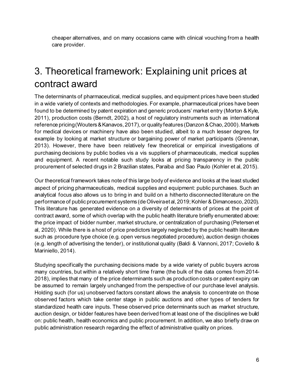cheaper alternatives, and on many occasions came with clinical vouching from a health care provider.

## 3. Theoretical framework: Explaining unit prices at contract award

The determinants of pharmaceutical, medical supplies, and equipment prices have been studied in a wide variety of contexts and methodologies. For example, pharmaceutical prices have been found to be determined by patent expiration and generic producers' market entry (Morton & Kyle, 2011), production costs (Berndt, 2002), a host of regulatory instruments such as international reference pricing (Wouters&Kanavos, 2017), or quality features (Danzon&Chao, 2000). Markets for medical devices or machinery have also been studied, albeit to a much lesser degree, for example by looking at market structure or bargaining power of market participants (Grennan, 2013). However, there have been relatively few theoretical or empirical investigations of purchasing decisions by public bodies vis a vis suppliers of pharmaceuticals, medical supplies and equipment. A recent notable such study looks at pricing transparency in the public procurement of selected drugs in 2 Brazilian states, Paraiba and Sao Paulo (Kohler et al, 2015).

Our theoretical framework takes note of this large body of evidence and looks at the least studied aspect of pricing pharmaceuticals, medical supplies and equipment: public purchases. Such an analytical focus also allows us to bring in and build on a hitherto disconnected literature on the performance of public procurement systems (de Oliveira et al, 2019; Kohler & Dimancesco, 2020). This literature has generated evidence on a diversity of determinants of prices at the point of contract award, some of which overlap with the public health literature briefly enumerated above: the price impact of bidder number, market structure, or centralization of purchasing (Petersen et al, 2020). While there is a host of price predictors largely neglected by the public health literature such as procedure type choice (e.g. open versus negotiated procedure), auction design choices (e.g. length of advertising the tender), or institutional quality (Baldi & Vannoni, 2017; Coviello & Mariniello, 2014).

Studying specifically the purchasing decisions made by a wide variety of public buyers across many countries, but within a relatively short time frame (the bulk of the data comes from 2014- 2018), implies that many of the price determinants such as production costs or patent expiry can be assumed to remain largely unchanged from the perspective of our purchase level analysis. Holding such (for us) unobserved factors constant allows the analysis to concentrate on those observed factors which take center stage in public auctions and other types of tenders for standardized health care inputs. These observed price determinants such as market structure, auction design, or bidder features have been derived from at least one of the disciplines we build on: public health, health economics and public procurement. In addition, we also briefly draw on public administration research regarding the effect of administrative quality on prices.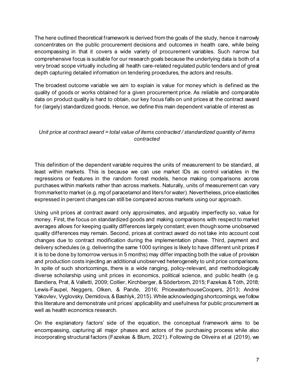The here outlined theoretical framework is derived from the goals of the study, hence it narrowly concentrates on the public procurement decisions and outcomes in health care, while being encompassing in that it covers a wide variety of procurement variables. Such narrow but comprehensive focus is suitable for our research goals because the underlying data is both of a very broad scope virtually including all health care-related regulated public tenders and of great depth capturing detailed information on tendering procedures, the actors and results.

The broadest outcome variable we aim to explain is value for money which is defined as the quality of goods or works obtained for a given procurement price. As reliable and comparable data on product quality is hard to obtain, our key focus falls on unit prices at the contract award for (largely) standardized goods. Hence, we define this main dependent variable of interest as

#### *Unit price at contract award = total value of items contracted / standardized quantity of items contracted*

This definition of the dependent variable requires the units of measurement to be standard, at least within markets. This is because we can use market IDs as control variables in the regressions or features in the random forest models, hence making comparisons across purchases within markets rather than across markets. Naturally, units of measurement can vary from market to market (e.g. mg of paracetamol and liters for water). Nevertheless, price elasticities expressed in percent changes can still be compared across markets using our approach.

Using unit prices at contract award only approximates, and arguably imperfectly so, value for money. First, the focus on standardized goods and making comparisons with respect to market averages allows for keeping quality differences largely constant; even though some unobserved quality differences may remain. Second, prices at contract award do not take into account cost changes due to contract modification during the implementation phase. Third, payment and delivery schedules (e.g. delivering the same 1000 syringes is likely to have different unit prices if it is to be done by tomorrow versus in 5 months) may differ impacting both the value of provision and production costs injecting an additional unobserved heterogeneity to unit price comparisons. In spite of such shortcomings, there is a wide ranging, policy-relevant, and methodologically diverse scholarship using unit prices in economics, political science, and public health (e.g. Bandiera, Prat, & Valletti, 2009; Collier, Kirchberger, & Söderbrom, 2015; Fazekas & Tóth, 2018; Lewis-Faupel, Neggers, Olken, & Pande, 2016; PricewaterhouseCoopers, 2013; Andrei Yakovlev, Vyglovsky, Demidova, & Bashlyk, 2015). While acknowledging shortcomings, we follow this literature and demonstrate unit prices' applicability and usefulness for public procurement as well as health economics research.

On the explanatory factors' side of the equation, the conceptual framework aims to be encompassing, capturing all major phases and actors of the purchasing process while also incorporating structural factors (Fazekas & Blum, 2021). Following de Oliveira et al (2019), we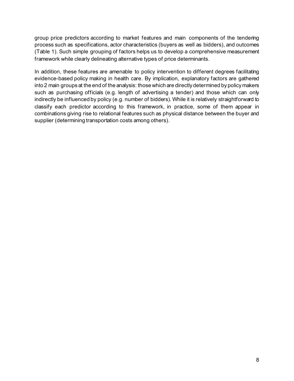group price predictors according to market features and main components of the tendering process such as specifications, actor characteristics (buyers as well as bidders), and outcomes (Table 1). Such simple grouping of factors helps us to develop a comprehensive measurement framework while clearly delineating alternative types of price determinants.

In addition, these features are amenable to policy intervention to different degrees facilitating evidence-based policy making in health care. By implication, explanatory factors are gathered into 2 main groups at the end of the analysis: those which are directly determined by policy makers such as purchasing officials (e.g. length of advertising a tender) and those which can only indirectly be influenced by policy (e.g. number of bidders). While it is relatively straightforward to classify each predictor according to this framework, in practice, some of them appear in combinations giving rise to relational features such as physical distance between the buyer and supplier (determining transportation costs among others).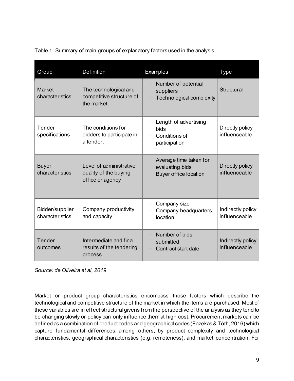| Group                              | <b>Definition</b>                                                    | Examples                                                                  | <b>Type</b>                        |
|------------------------------------|----------------------------------------------------------------------|---------------------------------------------------------------------------|------------------------------------|
| <b>Market</b><br>characteristics   | The technological and<br>competitive structure of<br>the market.     | Number of potential<br>suppliers<br>Technological complexity              | <b>Structural</b>                  |
| Tender<br>specifications           | The conditions for<br>bidders to participate in<br>a tender.         | Length of advertising<br>bids<br>Conditions of<br>participation           | Directly policy<br>influenceable   |
| <b>Buyer</b><br>characteristics    | Level of administrative<br>quality of the buying<br>office or agency | Average time taken for<br>evaluating bids<br><b>Buyer office location</b> | Directly policy<br>influenceable   |
| Bidder/supplier<br>characteristics | Company productivity<br>and capacity                                 | Company size<br>Company headquarters<br>location                          | Indirectly policy<br>influenceable |
| Tender<br>outcomes                 | Intermediate and final<br>results of the tendering<br>process        | Number of bids<br>submitted<br>Contract start date                        | Indirectly policy<br>influenceable |

Table 1. Summary of main groups of explanatory factors used in the analysis

*Source: de Oliveira et al, 2019*

Market or product group characteristics encompass those factors which describe the technological and competitive structure of the market in which the items are purchased. Most of these variables are in effect structural givens from the perspective of the analysis as they tend to be changing slowly or policy can only influence them at high cost. Procurement markets can be defined as a combination of product codes and geographical codes (Fazekas & Tóth, 2016) which capture fundamental differences, among others, by product complexity and technological characteristics, geographical characteristics (e.g. remoteness), and market concentration. For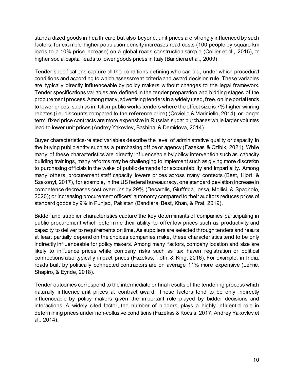standardized goods in health care but also beyond, unit prices are strongly influenced by such factors; for example higher population density increases road costs (100 people by square km leads to a 10% price increase) on a global roads construction sample (Collier et al., 2015), or higher social capital leads to lower goods prices in Italy (Bandiera et al., 2009).

Tender specifications capture all the conditions defining who can bid, under which procedural conditions and according to which assessment criteria and award decision rule. These variables are typically directly influenceable by policy makers without changes to the legal framework. Tender specifications variables are defined in the tender preparation and bidding stages of the procurement process. Among many, advertising tenders in a widely used, free, online portal tends to lower prices, such as in Italian public works tenders where the effect size is 7% higher winning rebates (i.e. discounts compared to the reference price) (Coviello & Mariniello, 2014); or longer term, fixed price contracts are more expensive in Russian sugar purchases while larger volumes lead to lower unit prices (Andrey Yakovlev, Bashina, & Demidova, 2014).

Buyer characteristics-related variables describe the level of administrative quality or capacity in the buying public entity such as a purchasing office or agency (Fazekas & Czibik, 2021). While many of these characteristics are directly influenceable by policy intervention such as capacity building trainings, many reforms may be challenging to implement such as giving more discretion to purchasing officials in the wake of public demands for accountability and impartiality. Among many others, procurement staff capacity lowers prices across many contexts (Best, Hjort, & Szakonyi, 2017), for example, in the US federal bureaucracy, one standard deviation increase in competence decreases cost overruns by 29% (Decarolis, Giuffrida, Iossa, Mollisi, & Spagnolo, 2020); or increasing procurement officers' autonomy compared to their auditors reduces prices of standard goods by 9% in Punjab, Pakistan (Bandiera, Best, Khan, & Prat, 2019).

Bidder and supplier characteristics capture the key determinants of companies participating in public procurement which determine their ability to offer low prices such as productivity and capacity to deliver to requirements on time. As suppliers are selected through tenders and results at least partially depend on the choices companies make, these characteristics tend to be only indirectly influenceable for policy makers. Among many factors, company location and size are likely to influence prices while company risks such as tax haven registration or political connections also typically impact prices (Fazekas, Tóth, & King, 2016). For example, in India, roads built by politically connected contractors are on average 11% more expensive (Lehne, Shapiro, & Eynde, 2018).

Tender outcomes correspond to the intermediate or final results of the tendering process which naturally influence unit prices at contract award. These factors tend to be only indirectly influenceable by policy makers given the important role played by bidder decisions and interactions. A widely cited factor, the number of bidders, plays a highly influential role in determining prices under non-collusive conditions (Fazekas & Kocsis, 2017; Andrey Yakovlev et al., 2014).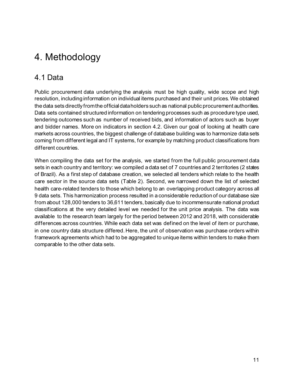## 4. Methodology

### 4.1 Data

Public procurement data underlying the analysis must be high quality, wide scope and high resolution, including information on individual items purchased and their unit prices. We obtained the data sets directly from the official data holders such as national public procurement authorities. Data sets contained structured information on tendering processes such as procedure type used, tendering outcomes such as number of received bids, and information of actors such as buyer and bidder names. More on indicators in section 4.2. Given our goal of looking at health care markets across countries, the biggest challenge of database building was to harmonize data sets coming from different legal and IT systems, for example by matching product classifications from different countries.

When compiling the data set for the analysis, we started from the full public procurement data sets in each country and territory: we compiled a data set of 7 countries and 2 territories (2 states of Brazil). As a first step of database creation, we selected all tenders which relate to the health care sector in the source data sets (Table 2). Second, we narrowed down the list of selected health care-related tenders to those which belong to an overlapping product category across all 9 data sets. This harmonization process resulted in a considerable reduction of our database size from about 128,000 tenders to 36,611 tenders, basically due to incommensurate national product classifications at the very detailed level we needed for the unit price analysis. The data was available to the research team largely for the period between 2012 and 2018, with considerable differences across countries. While each data set was defined on the level of item or purchase, in one country data structure differed. Here, the unit of observation was purchase orders within framework agreements which had to be aggregated to unique items within tenders to make them comparable to the other data sets.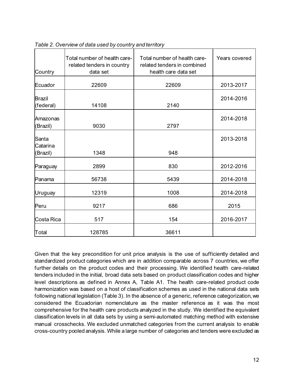| Country                       | Total number of health care-<br>related tenders in country<br>data set | Total number of health care-<br>related tenders in combined<br>health care data set | Years covered |
|-------------------------------|------------------------------------------------------------------------|-------------------------------------------------------------------------------------|---------------|
| Ecuador                       | 22609                                                                  | 22609                                                                               | 2013-2017     |
| <b>Brazil</b><br>(federal)    | 14108                                                                  | 2140                                                                                | 2014-2016     |
| Amazonas<br>(Brazil)          | 9030                                                                   | 2797                                                                                | 2014-2018     |
| Santa<br>Catarina<br>(Brazil) | 1348                                                                   | 948                                                                                 | 2013-2018     |
| Paraguay                      | 2899                                                                   | 830                                                                                 | 2012-2016     |
| Panama                        | 56738                                                                  | 5439                                                                                | 2014-2018     |
| Uruguay                       | 12319                                                                  | 1008                                                                                | 2014-2018     |
| Peru                          | 9217                                                                   | 686                                                                                 | 2015          |
| Costa Rica                    | 517                                                                    | 154                                                                                 | 2016-2017     |
| Total                         | 128785                                                                 | 36611                                                                               |               |

|  |  | Table 2. Overview of data used by country and territory |
|--|--|---------------------------------------------------------|
|  |  |                                                         |

Given that the key precondition for unit price analysis is the use of sufficiently detailed and standardized product categories which are in addition comparable across 7 countries, we offer further details on the product codes and their processing. We identified health care-related tenders included in the initial, broad data sets based on product classification codes and higher level descriptions as defined in Annex A, Table A1. The health care-related product code harmonization was based on a host of classification schemes as used in the national data sets following national legislation (Table 3). In the absence of a generic, reference categorization, we considered the Ecuadorian nomenclature as the master reference as it was the most comprehensive for the health care products analyzed in the study. We identified the equivalent classification levels in all data sets by using a semi-automated matching method with extensive manual crosschecks. We excluded unmatched categories from the current analysis to enable cross-country pooled analysis. While a large number of categories and tenders were excluded as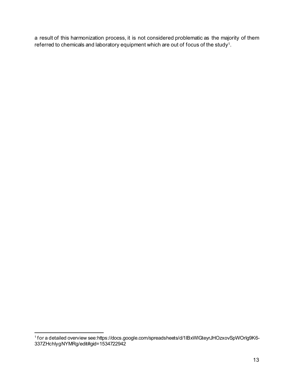a result of this harmonization process, it is not considered problematic as the majority of them referred to chemicals and laboratory equipment which are out of focus of the stud[y1](#page-14-0).

<span id="page-14-0"></span><sup>1</sup> for a detailed overview see:https://docs.google.com/spreadsheets/d/1IBxWlGteyrJHOzxovSpWOrIg9K6- 337ZHchIygNYMRg/edit#gid=1534722942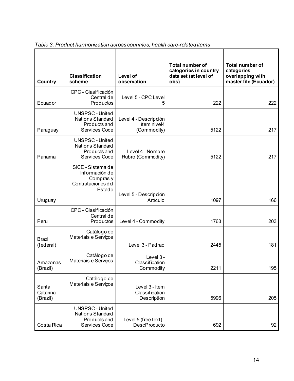| Country                       | <b>Classification</b><br>scheme                                                    | <b>Level of</b><br>observation                      | <b>Total number of</b><br>categories in country<br>data set (at level of<br>obs) | <b>Total number of</b><br>categories<br>overlapping with<br>master file (Ecuador) |
|-------------------------------|------------------------------------------------------------------------------------|-----------------------------------------------------|----------------------------------------------------------------------------------|-----------------------------------------------------------------------------------|
| Ecuador                       | CPC - Clasificación<br>Central de<br>Productos                                     | Level 5 - CPC Level                                 | 222                                                                              | 222                                                                               |
| Paraguay                      | <b>UNSPSC - United</b><br><b>Nations Standard</b><br>Products and<br>Services Code | Level 4 - Descripción<br>ítem nivel4<br>(Commodity) | 5122                                                                             | 217                                                                               |
| Panama                        | <b>UNSPSC - United</b><br><b>Nations Standard</b><br>Products and<br>Services Code | Level 4 - Nombre<br>Rubro (Commodity)               | 5122                                                                             | 217                                                                               |
| Uruguay                       | SICE - Sistema de<br>Información de<br>Compras y<br>Contrataciones del<br>Estado   | Level 5 - Descripción<br>Artículo                   | 1097                                                                             | 166                                                                               |
| Peru                          | CPC - Clasificación<br>Central de<br>Productos                                     | Level 4 - Commodity                                 | 1763                                                                             | 203                                                                               |
| <b>Brazil</b><br>(federal)    | Catálogo de<br>Materiais e Serviços                                                | Level 3 - Padrao                                    | 2445                                                                             | 181                                                                               |
| Amazonas<br>(Brazil)          | Catálogo de<br>Materiais e Serviços                                                | Level 3 -<br>Classification<br>Commodity            | 2211                                                                             | 195                                                                               |
| Santa<br>Catarina<br>(Brazil) | Catálogo de<br>Materiais e Serviços                                                | Level 3 - Item<br>Classification<br>Description     | 5996                                                                             | 205                                                                               |
| Costa Rica                    | <b>UNSPSC - United</b><br><b>Nations Standard</b><br>Products and<br>Services Code | Level 5 (free text) -<br><b>DescProducto</b>        | 692                                                                              | 92                                                                                |

*Table 3. Product harmonization across countries, health care-related items*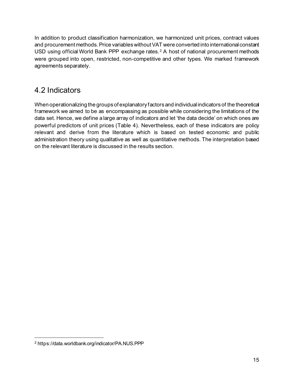In addition to product classification harmonization, we harmonized unit prices, contract values and procurement methods. Price variables without VAT were converted into international constant USD using official World Bank PPP exchange rates.<sup>[2](#page-16-0)</sup> A host of national procurement methods were grouped into open, restricted, non-competitive and other types. We marked framework agreements separately.

### 4.2 Indicators

When operationalizing the groups of explanatory factors and individual indicators of the theoretical framework we aimed to be as encompassing as possible while considering the limitations of the data set. Hence, we define a large array of indicators and let 'the data decide' on which ones are powerful predictors of unit prices (Table 4). Nevertheless, each of these indicators are policy relevant and derive from the literature which is based on tested economic and public administration theory using qualitative as well as quantitative methods. The interpretation based on the relevant literature is discussed in the results section.

<span id="page-16-0"></span><sup>2</sup> https://data.worldbank.org/indicator/PA.NUS.PPP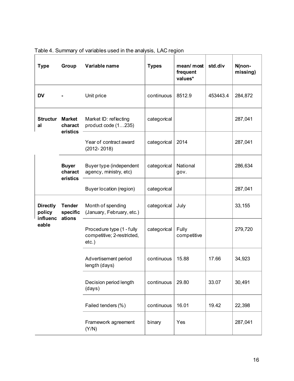| <b>Type</b>                           | Group                                | Variable name                                                       | <b>Types</b> | mean/ most<br>frequent<br>values* | std.div  | N(non-<br>missing) |
|---------------------------------------|--------------------------------------|---------------------------------------------------------------------|--------------|-----------------------------------|----------|--------------------|
| <b>DV</b>                             |                                      | Unit price                                                          | continuous   | 8512.9                            | 453443.4 | 284,872            |
| <b>Structur</b><br>al                 | <b>Market</b><br>charact<br>eristics | Market ID: reflecting<br>product code (1235)                        | categorical  |                                   |          | 287,041            |
|                                       |                                      | Year of contract award<br>$(2012 - 2018)$                           | categorical  | 2014                              |          | 287,041            |
|                                       | <b>Buyer</b><br>charact<br>eristics  | Buyer type (independent<br>agency, ministry, etc)                   | categorical  | National<br>gov.                  |          | 286,634            |
|                                       |                                      | Buyer location (region)                                             | categorical  |                                   |          | 287,041            |
| <b>Directly</b><br>policy<br>influenc | <b>Tender</b><br>specific<br>ations  | Month of spending<br>(January, February, etc.)                      | categorical  | July                              |          | 33,155             |
| eable                                 |                                      | Procedure type (1 - fully<br>competitive; 2-restricted,<br>$etc.$ ) | categorical  | Fully<br>competitive              |          | 279,720            |
|                                       |                                      | Advertisement period<br>length (days)                               | continuous   | 15.88                             | 17.66    | 34,923             |
|                                       |                                      | Decision period length<br>(days)                                    | continuous   | 29.80                             | 33.07    | 30,491             |
|                                       |                                      | Failed tenders (%)                                                  | continuous   | 16.01                             | 19.42    | 22,398             |
|                                       |                                      | Framework agreement<br>(Y/N)                                        | binary       | Yes                               |          | 287,041            |

### Table 4. Summary of variables used in the analysis, LAC region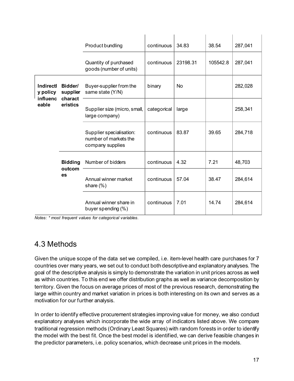|                                                     |                                             | Product bundling                                                      | continuous  | 34.83    | 38.54    | 287,041 |
|-----------------------------------------------------|---------------------------------------------|-----------------------------------------------------------------------|-------------|----------|----------|---------|
|                                                     |                                             | Quantity of purchased<br>goods (number of units)                      | continuous  | 23198.31 | 105542.8 | 287,041 |
| <b>Indirectl</b><br>Bidder/<br>y policy<br>supplier | Buyer-supplier from the<br>same state (Y/N) | binary                                                                | <b>No</b>   |          | 282,028  |         |
| <b>influenc</b><br>eable                            | charact<br>eristics                         | Supplier size (micro, small,<br>large company)                        | categorical | large    |          | 258,341 |
|                                                     |                                             | Supplier specialisation:<br>number of markets the<br>company supplies | continuous  | 83.87    | 39.65    | 284,718 |
|                                                     | <b>Bidding</b>                              | Number of bidders                                                     | continuous  | 4.32     | 7.21     | 48,703  |
| outcom<br>es                                        | Annual winner market<br>share $(\%)$        | continuous                                                            | 57.04       | 38.47    | 284,614  |         |
|                                                     |                                             | Annual winner share in<br>buyer spending (%)                          | continuous  | 7.01     | 14.74    | 284,614 |

*Notes: \* most frequent values for categorical variables.*

#### 4.3 Methods

Given the unique scope of the data set we compiled, i.e. item-level health care purchases for 7 countries over many years, we set out to conduct both descriptive and explanatory analyses. The goal of the descriptive analysis is simply to demonstrate the variation in unit prices across as well as within countries. To this end we offer distribution graphs as well as variance decomposition by territory. Given the focus on average prices of most of the previous research, demonstrating the large within country and market variation in prices is both interesting on its own and serves as a motivation for our further analysis.

In order to identify effective procurement strategies improving value for money, we also conduct explanatory analyses which incorporate the wide array of indicators listed above. We compare traditional regression methods (Ordinary Least Squares) with random forests in order to identify the model with the best fit. Once the best model is identified, we can derive feasible changes in the predictor parameters, i.e. policy scenarios, which decrease unit prices in the models.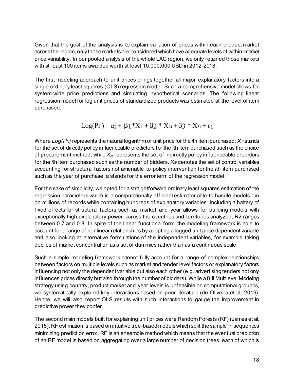Given that the goal of the analysis is to explain variation of prices within each product market across the region, only those markets are considered which have adequate levels of within-market price variability. In our pooled analysis of the whole LAC region, we only retained those markets with at least 100 items awarded worth at least 10,000,000 USD in 2012-2018.

The first modeling approach to unit prices brings together all major explanatory factors into a single ordinary least squares (OLS) regression model. Such a comprehensive model allows for system-wide price predictions and simulating hypothetical scenarios. The following linear regression model for log unit prices of standardized products was estimated at the level of item purchased:

$$
Log(Pr_i) = \alpha_1^{} + \beta_1^{} * X_{1i}^{} + \beta_2^{} * X_{2i}^{} + \beta_3^{} * X_{3i}^{} + \epsilon_1^{} \nonumber
$$

Where *Log(Pri)* represents the natural logarithm of unit price for the *i*th item purchased; *X1i* stands for the set of directly policy influenceable predictors for the *i*th item purchased such as the choice of procurement method; while *X2i* represents the set of indirectly policy influenceable predictors for the *i*th item purchased such as the number of bidders. *X3i* denotes the set of control variables accounting for structural factors not amenable to policy intervention for the *i*th item purchased such as the year of purchase. ε<sup>i</sup> stands for the error term of the regression model.

For the sake of simplicity, we opted for a straightforward ordinary least squares estimation of the regression parameters which is a computationally efficient estimator able to handle models run on millions of records while containing hundreds of explanatory variables. Including a battery of fixed effects for structural factors such as market and year allows for building models with exceptionally high explanatory power: across the countries and territories analyzed, R2 ranges between 0.7 and 0.8. In spite of the linear functional form, the modeling framework is able to account for a range of nonlinear relationships by adopting a logged unit price dependent variable and also looking at alternative formulations of the independent variables, for example taking deciles of market concentration as a set of dummies rather than as a continuous scale.

Such a simple modeling framework cannot fully account for a range of complex relationships between factors on multiple levels such as market and tender level factors or explanatory factors influencing not only the dependent variable but also each other (e.g. advertising tenders not only influences prices directly but also through the number of bidders). While a full Multilevel Modeling strategy using country, product market and year levels is unfeasible on computational grounds, we systematically explored key interactions based on prior literature (de Oliveira et al, 2019). Hence, we will also report OLS results with such interactions to gauge the improvement in predictive power they confer.

The second main models built for explaining unit prices were Random Forests (RF) (James et al, 2015). RF estimation is based on intuitive tree-based models which split the sample in sequences minimizing prediction error. RF is an ensemble method which means that the eventual prediction of an RF model is based on aggregating over a large number of decision trees, each of which is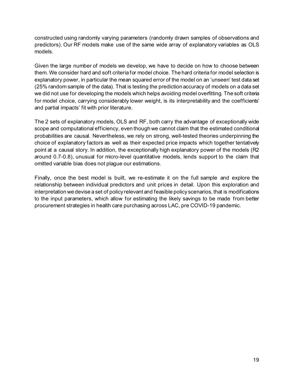constructed using randomly varying parameters (randomly drawn samples of observations and predictors). Our RF models make use of the same wide array of explanatory variables as OLS models.

Given the large number of models we develop, we have to decide on how to choose between them. We consider hard and soft criteria for model choice. The hard criteria for model selection is explanatory power, in particular the mean squared error of the model on an 'unseen' test data set (25% random sample of the data). That is testing the prediction accuracy of models on a data set we did not use for developing the models which helps avoiding model overfitting. The soft criteria for model choice, carrying considerably lower weight, is its interpretability and the coefficients' and partial impacts' fit with prior literature.

The 2 sets of explanatory models, OLS and RF, both carry the advantage of exceptionally wide scope and computational efficiency, even though we cannot claim that the estimated conditional probabilities are causal. Nevertheless, we rely on strong, well-tested theories underpinning the choice of explanatory factors as well as their expected price impacts which together tentatively point at a causal story. In addition, the exceptionally high explanatory power of the models (R2 around 0.7-0.8), unusual for micro-level quantitative models, lends support to the claim that omitted variable bias does not plague our estimations.

Finally, once the best model is built, we re-estimate it on the full sample and explore the relationship between individual predictors and unit prices in detail. Upon this exploration and interpretation we devise a set of policy relevant and feasible policy scenarios, that is modifications to the input parameters, which allow for estimating the likely savings to be made from better procurement strategies in health care purchasing across LAC, pre COVID-19 pandemic.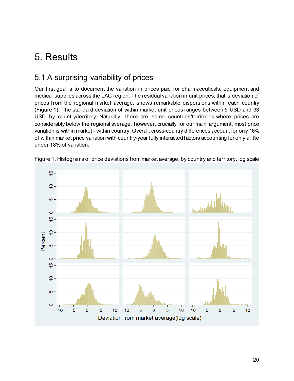## 5. Results

#### 5.1 A surprising variability of prices

Our first goal is to document the variation in prices paid for pharmaceuticals, equipment and medical supplies across the LAC region. The residual variation in unit prices, that is deviation of prices from the regional market average, shows remarkable dispersions within each country (Figure 1). The standard deviation of within market unit prices ranges between 5 USD and 33 USD by country/territory. Naturally, there are some countries/territories where prices are considerably below the regional average, however, crucially for our main argument, most price variation is within market - within country. Overall, cross-country differences account for only 16% of within market price variation with country-year fully interacted factors accounting for only a little under 18% of variation.



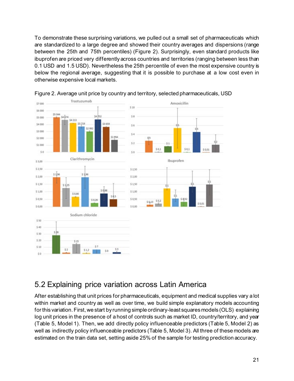To demonstrate these surprising variations, we pulled out a small set of pharmaceuticals which are standardized to a large degree and showed their country averages and dispersions (range between the 25th and 75th percentiles) (Figure 2). Surprisingly, even standard products like ibuprofen are priced very differently across countries and territories (ranging between less than 0.1 USD and 1.5 USD). Nevertheless the 25th percentile of even the most expensive country is below the regional average, suggesting that it is possible to purchase at a low cost even in otherwise expensive local markets.



Figure 2. Average unit price by country and territory, selected pharmaceuticals, USD

#### 5.2 Explaining price variation across Latin America

After establishing that unit prices for pharmaceuticals, equipment and medical supplies vary a lot within market and country as well as over time, we build simple explanatory models accounting for this variation. First, we start by running simple ordinary-least squares models (OLS) explaining log unit prices in the presence of a host of controls such as market ID, country/territory, and year (Table 5, Model 1). Then, we add directly policy influenceable predictors (Table 5, Model 2) as well as indirectly policy influenceable predictors (Table 5, Model 3). All three of these models are estimated on the train data set, setting aside 25% of the sample for testing prediction accuracy.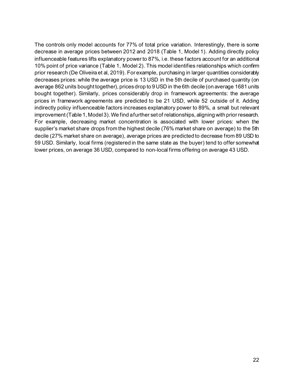The controls only model accounts for 77% of total price variation. Interestingly, there is some decrease in average prices between 2012 and 2018 (Table 1, Model 1). Adding directly policy influenceable features lifts explanatory power to 87%, i.e. these factors account for an additional 10% point of price variance (Table 1, Model 2). This model identifies relationships which confirm prior research (De Oliveira et al, 2019). For example, purchasing in larger quantities considerably decreases prices: while the average price is 13 USD in the 5th decile of purchased quantity (on average 862 units bought together), prices drop to 9 USD in the 6th decile (on average 1681 units bought together). Similarly, prices considerably drop in framework agreements: the average prices in framework agreements are predicted to be 21 USD, while 52 outside of it. Adding indirectly policy influenceable factors increases explanatory power to 89%, a small but relevant improvement (Table 1, Model 3). We find a further set of relationships, aligning with prior research. For example, decreasing market concentration is associated with lower prices: when the supplier's market share drops from the highest decile (76% market share on average) to the 5th decile (27% market share on average), average prices are predicted to decrease from 89 USD to 59 USD. Similarly, local firms (registered in the same state as the buyer) tend to offer somewhat lower prices, on average 36 USD, compared to non-local firms offering on average 43 USD.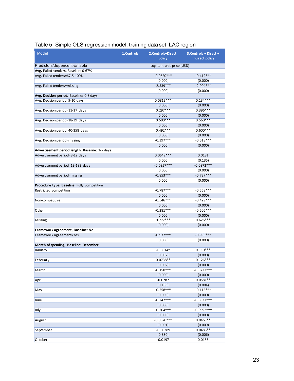|                                                 |             |                           | ັ                      |
|-------------------------------------------------|-------------|---------------------------|------------------------|
| <b>Model</b>                                    | 1. Controls | 2. Controls+Direct        | 3. Controls + Direct + |
|                                                 |             | policy                    | <b>Indirect policy</b> |
| Predictors/dependent variable                   |             | Log item unit price (USD) |                        |
| Avg. Failed tenders, Baseline: 0-67%            |             |                           |                        |
| Avg. Failed tenders=67.5-100%                   |             | $-0.0620***$              | $-0.412***$            |
|                                                 |             | (0.000)                   | (0.000)                |
| Avg. Failed tenders=missing                     |             | $-2.539***$               | $-2.904***$            |
|                                                 |             | (0.000)                   | (0.000)                |
| Avg. Decision period, Baseline: 0-8 days        |             |                           |                        |
| Avg. Decision period=9-10 days                  |             | $0.0812***$               | $0.134***$             |
|                                                 |             | (0.000)                   | (0.000)                |
| Avg. Decision period=11-17 days                 |             | $0.297***$                | $0.396***$             |
|                                                 |             | (0.000)                   | (0.000)                |
| Avg. Decision period=18-39 days                 |             | $0.500***$                | $0.560***$             |
|                                                 |             | (0.000)                   | (0.000)                |
| Avg. Decision period=40-358 days                |             | $0.492***$                | $0.600***$             |
|                                                 |             | (0.000)                   | (0.000)                |
|                                                 |             | $-0.397***$               | $-0.518***$            |
| Avg. Decision period=missing                    |             |                           |                        |
|                                                 |             | (0.000)                   | (0.000)                |
| Advertisement period length, Baseline: 1-7 days |             | $0.0649***$               |                        |
| Advertisement period=8-12 days                  |             |                           | 0.0181                 |
|                                                 |             | (0.000)                   | (0.135)                |
| Advertisement period=13-183 days                |             | $-0.0957***$              | $-0.0872***$           |
|                                                 |             | (0.000)                   | (0.000)                |
| Advertisement period=missing                    |             | $-0.853***$               | $-0.737***$            |
|                                                 |             | (0.000)                   | (0.000)                |
| Procedure type, Baseline: Fully competitive     |             |                           |                        |
| Restricted competition                          |             | $-0.787***$               | $-0.568***$            |
|                                                 |             | (0.000)                   | (0.000)                |
| Non-competitive                                 |             | $-0.546***$               | $-0.429***$            |
|                                                 |             | (0.000)                   | (0.000)                |
| Other                                           |             | $-0.281***$               | $-0.506***$            |
|                                                 |             | (0.000)                   | (0.000)                |
| Missing                                         |             | $0.777***$                | $0.626***$             |
|                                                 |             | (0.000)                   | (0.000)                |
| Framework agreement, Baseline: No               |             |                           |                        |
| Framework agreement=Yes                         |             | $-0.937***$               | $-0.993***$            |
|                                                 |             | (0.000)                   | (0.000)                |
| Month of spending, Baseline: December           |             |                           |                        |
| January                                         |             | $-0.0614*$                | $0.110***$             |
|                                                 |             | (0.032)                   | (0.000)                |
| February                                        |             | $0.0738**$                | $0.126***$             |
|                                                 |             | (0.002)                   | (0.000)                |
| March                                           |             | $-0.150***$               | $-0.0723***$           |
|                                                 |             | (0.000)                   | (0.000)                |
| April                                           |             | $-0.0287$                 | $0.0581**$             |
|                                                 |             | (0.183)                   | (0.004)                |
| May                                             |             | $-0.258***$               | $-0.115***$            |
|                                                 |             | (0.000)                   | (0.000)                |
| June                                            |             | $-0.247***$               | $-0.0637***$           |
|                                                 |             | (0.000)                   | (0.000)                |
| July                                            |             | $-0.204***$               | $-0.0992***$           |
|                                                 |             | (0.000)                   | (0.000)                |
| August                                          |             | $-0.0670***$              | $0.0463**$             |
|                                                 |             | (0.001)                   | (0.009)                |
| September                                       |             | $-0.00289$                | $0.0486**$             |
|                                                 |             | (0.880)                   | (0.006)                |
| October                                         |             | $-0.0197$                 | 0.0155                 |

#### Table 5. Simple OLS regression model, training data set, LAC region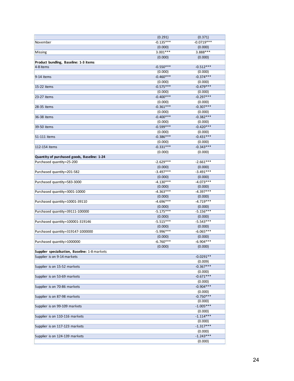|                                                | (0.291)                | (0.371)                |
|------------------------------------------------|------------------------|------------------------|
| November                                       | $-0.135***$            | $-0.0719***$           |
|                                                | (0.000)                | (0.000)                |
| Missing                                        | $3.001***$             | $3.888***$             |
|                                                | (0.000)                | (0.000)                |
| Product bundling, Baseline: 1-3 items          |                        |                        |
| 4-8 items                                      | $-0.550***$            | $-0.512***$            |
|                                                | (0.000)                | (0.000)                |
| 9-14 items                                     | $-0.460***$            | $-0.374***$            |
|                                                | (0.000)                | (0.000)                |
| 15-22 items                                    | $-0.575***$            | $-0.479***$            |
|                                                | (0.000)                | (0.000)                |
| 23-27 items                                    | $-0.400***$            | $-0.297***$            |
|                                                | (0.000)                | (0.000)                |
| 28-35 items                                    | $-0.361***$            | $-0.307***$            |
|                                                | (0.000)                | (0.000)                |
| 36-38 items                                    | $-0.400***$            | $-0.382***$            |
|                                                | (0.000)                | (0.000)                |
| 39-50 items                                    | $-0.599***$            | $-0.420***$            |
|                                                | (0.000)                | (0.000)                |
| 51-111 items                                   | $-0.386***$            | $-0.431***$            |
|                                                |                        |                        |
| 112-154 items                                  | (0.000)<br>$-0.331***$ | (0.000)<br>$-0.343***$ |
|                                                |                        |                        |
|                                                | (0.000)                | (0.000)                |
| Quantity of purchased goods, Baseline: 1-24    |                        |                        |
| Purchased quantity=25-200                      | $-2.629***$            | $-2.661***$            |
|                                                | (0.000)                | (0.000)                |
| Purchased quantity=201-582                     | $-3.497***$            | $-3.491***$            |
|                                                | (0.000)                | (0.000)                |
| Purchased quantity=583-3000                    | $-4.130***$            | $-4.073***$            |
|                                                | (0.000)                | (0.000)                |
| Purchased quantity=3001-10000                  | $-4.363***$            | $-4.397***$            |
|                                                | (0.000)                | (0.000)                |
| Purchased quantity=10001-39110                 | $-4.696***$            | $-4.719***$            |
|                                                | (0.000)                | (0.000)                |
| Purchased quantity=39111-100000                | $-5.175***$            | $-5.156***$            |
|                                                | (0.000)                | (0.000)                |
| Purchased quantity=100001-319146               | $-5.515***$            | $-5.543***$            |
|                                                | (0.000)                | (0.000)                |
| Purchased quantity=319147-1000000              | $-5.996***$            | $-6.065***$            |
|                                                | (0.000)                | (0.000)                |
| Purchased quantity>1000000                     | $-6.760***$            | $-6.904***$            |
|                                                | (0.000)                | (0.000)                |
| Supplier specialisation, Baseline: 1-8 markets |                        |                        |
| Supplier is on 9-14 markets                    |                        | $-0.0291**$            |
|                                                |                        | (0.009)                |
| Supplier is on 15-52 markets                   |                        | $-0.367***$            |
|                                                |                        | (0.000)                |
| Supplier is on 53-69 markets                   |                        | $-0.671***$            |
|                                                |                        | (0.000)                |
| Supplier is on 70-86 markets                   |                        | $-0.904***$            |
|                                                |                        | (0.000)                |
| Supplier is on 87-98 markets                   |                        | $-0.750***$            |
|                                                |                        | (0.000)                |
| Supplier is on 99-109 markets                  |                        | $-1.005***$            |
|                                                |                        | (0.000)                |
| Supplier is on 110-116 markets                 |                        | $-1.114***$            |
|                                                |                        | (0.000)                |
| Supplier is on 117-123 markets                 |                        | $-1.317***$            |
|                                                |                        | (0.000)                |
| Supplier is on 124-139 markets                 |                        | $-1.243***$            |
|                                                |                        | (0.000)                |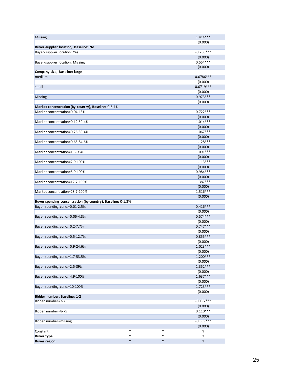| <b>Missing</b>                                              |                |                | $1.414***$            |
|-------------------------------------------------------------|----------------|----------------|-----------------------|
|                                                             |                |                | (0.000)               |
| Buyer-supplier location, Baseline: No                       |                |                |                       |
| Buyer-supplier location: Yes                                |                |                | $-0.200***$           |
|                                                             |                |                | (0.000)               |
| Buyer-supplier location: Missing                            |                |                | $0.554***$            |
|                                                             |                |                | (0.000)               |
| Company size, Baseline: large                               |                |                |                       |
| medium                                                      |                |                | $0.0786***$           |
|                                                             |                |                | (0.000)               |
| small                                                       |                |                | $0.0719***$           |
|                                                             |                |                | (0.000)               |
| Missing                                                     |                |                | $0.973***$            |
|                                                             |                |                | (0.000)               |
| Market concentration (by country), Baseline: 0-6.1%         |                |                |                       |
| Market concentration=0.04-18%                               |                |                | $0.722***$            |
|                                                             |                |                | (0.000)               |
| Market concentration=0.12-59.4%                             |                |                | $1.014***$            |
|                                                             |                |                | (0.000)               |
| Market concentration=0.26-59.4%                             |                |                | $1.067***$            |
|                                                             |                |                | (0.000)               |
| Market concentration=0.65-84.6%                             |                |                | $1.128***$            |
|                                                             |                |                | (0.000)               |
| Market concentration=1.3-98%                                |                |                | $1.091***$            |
|                                                             |                |                | (0.000)               |
| Market concentration=2.9-100%                               |                |                | $1.113***$            |
|                                                             |                |                | (0.000)               |
| Market concentration=5.9-100%                               |                |                | $0.984***$            |
|                                                             |                |                | (0.000)               |
| Market concentration=12.7-100%                              |                |                | $1.387***$            |
|                                                             |                |                | (0.000)               |
| Market concentration=28.7-100%                              |                |                | $1.516***$            |
|                                                             |                |                | (0.000)               |
| Buyer spending concentration (by country), Baseline: 0-1.2% |                |                |                       |
| Buyer spending conc.=0.01-2.5%                              |                |                | $0.416***$            |
|                                                             |                |                | (0.000)<br>$0.574***$ |
| Buyer spending conc.=0.06-4.3%                              |                |                |                       |
|                                                             |                |                | (0.000)<br>$0.747***$ |
| Buyer spending conc.=0.2-7.7%                               |                |                |                       |
| Buyer spending conc.=0.5-12.7%                              |                |                | (0.000)<br>$0.855***$ |
|                                                             |                |                |                       |
| Buyer spending conc.=0.9-24.6%                              |                |                | (0.000)<br>$1.023***$ |
|                                                             |                |                | (0.000)               |
| Buyer spending conc.=1.7-53.5%                              |                |                | $1.200***$            |
|                                                             |                |                | (0.000)               |
| Buyer spending conc.=2.5-89%                                |                |                | $1.352***$            |
|                                                             |                |                | (0.000)               |
| Buyer spending conc.=4.9-100%                               |                |                | $1.637***$            |
|                                                             |                |                | (0.000)               |
| Buyer spending conc.=10-100%                                |                |                | $1.723***$            |
|                                                             |                |                | (0.000)               |
| Bidder number, Baseline: 1-2                                |                |                |                       |
| Bidder number=3-7                                           |                |                | $-0.197***$           |
|                                                             |                |                | (0.000)               |
| Bidder number=8-75                                          |                |                | $0.110***$            |
|                                                             |                |                | (0.000)               |
| Bidder number=missing                                       |                |                | $-0.389***$           |
|                                                             |                |                | (0.000)               |
| Constant                                                    | Y              | Υ              | Υ                     |
| <b>Buyer type</b>                                           | $\overline{Y}$ | $\overline{Y}$ | Y                     |
| <b>Buyer region</b>                                         | Y              | Υ              | Υ                     |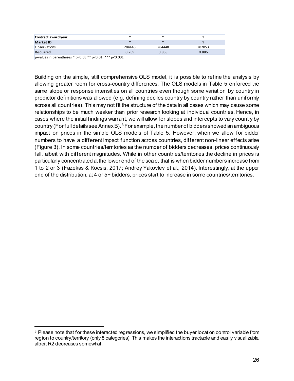| Contract award year                                          |        |        |        |
|--------------------------------------------------------------|--------|--------|--------|
| Market ID                                                    |        |        |        |
| <b>Observations</b>                                          | 284448 | 284448 | 282853 |
| R-squared                                                    | 0.769  | 0.868  | 0.886  |
| p-values in parentheses * $p<0.05$ ** $p<0.01$ *** $p<0.001$ |        |        |        |

Building on the simple, still comprehensive OLS model, it is possible to refine the analysis by allowing greater room for cross-country differences. The OLS models in Table 5 enforced the same slope or response intensities on all countries even though some variation by country in predictor definitions was allowed (e.g. defining deciles country by country rather than uniformly across all countries). This may not fit the structure of the data in all cases which may cause some relationships to be much weaker than prior research looking at individual countries. Hence, in cases where the initial findings warrant, we will allow for slopes and intercepts to vary country by country (For full details see Annex B).<sup>[3](#page-27-0)</sup> For example, the number of bidders showed an ambiguous impact on prices in the simple OLS models of Table 5. However, when we allow for bidder numbers to have a different impact function across countries, different non-linear effects arise (Figure 3). In some countries/territories as the number of bidders decreases, prices continuously fall, albeit with different magnitudes. While in other countries/territories the decline in prices is particularly concentrated at the lower end of the scale, that is when bidder numbers increase from 1 to 2 or 3 (Fazekas & Kocsis, 2017; Andrey Yakovlev et al., 2014). Interestingly, at the upper end of the distribution, at 4 or 5+ bidders, prices start to increase in some countries/territories.

<span id="page-27-0"></span><sup>&</sup>lt;sup>3</sup> Please note that for these interacted regressions, we simplified the buyer location control variable from region to country/territory (only 8 categories). This makes the interactions tractable and easily visualizable, albeit R2 decreases somewhat.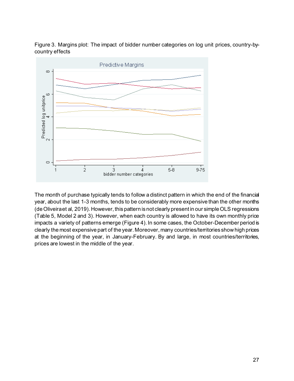



The month of purchase typically tends to follow a distinct pattern in which the end of the financial year, about the last 1-3 months, tends to be considerably more expensive than the other months (de Oliveira et al, 2019). However, this pattern is not clearly present in our simple OLS regressions (Table 5, Model 2 and 3). However, when each country is allowed to have its own monthly price impacts a variety of patterns emerge (Figure 4). In some cases, the October-December period is clearly the most expensive part of the year. Moreover, many countries/territories show high prices at the beginning of the year, in January-February. By and large, in most countries/territories, prices are lowest in the middle of the year.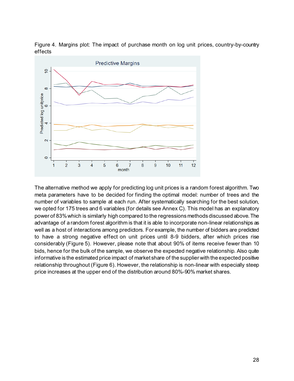Figure 4. Margins plot: The impact of purchase month on log unit prices, country-by-country effects



The alternative method we apply for predicting log unit prices is a random forest algorithm. Two meta parameters have to be decided for finding the optimal model: number of trees and the number of variables to sample at each run. After systematically searching for the best solution, we opted for 175 trees and 6 variables (for details see Annex C). This model has an explanatory power of 83% which is similarly high compared to the regressions methods discussed above. The advantage of a random forest algorithm is that it is able to incorporate non-linear relationships as well as a host of interactions among predictors. For example, the number of bidders are predicted to have a strong negative effect on unit prices until 8-9 bidders, after which prices rise considerably (Figure 5). However, please note that about 90% of items receive fewer than 10 bids, hence for the bulk of the sample, we observe the expected negative relationship. Also quite informative is the estimated price impact of market share of the supplier with the expected positive relationship throughout (Figure 6). However, the relationship is non-linear with especially steep price increases at the upper end of the distribution around 80%-90% market shares.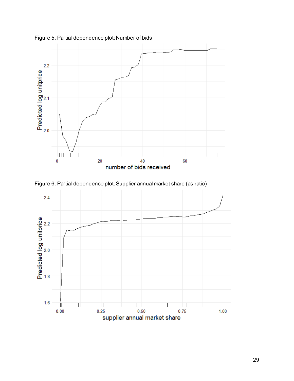

Figure 5. Partial dependence plot: Number of bids



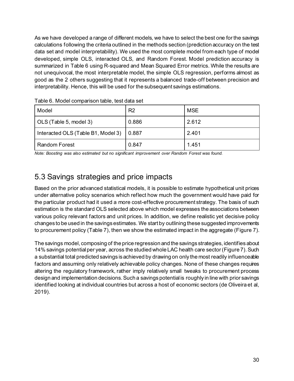As we have developed a range of different models, we have to select the best one for the savings calculations following the criteria outlined in the methods section (prediction accuracy on the test data set and model interpretability). We used the most complete model from each type of model developed, simple OLS, interacted OLS, and Random Forest. Model prediction accuracy is summarized in Table 6 using R-squared and Mean Squared Error metrics. While the results are not unequivocal, the most interpretable model, the simple OLS regression, performs almost as good as the 2 others suggesting that it represents a balanced trade-off between precision and interpretability. Hence, this will be used for the subsequent savings estimations.

| Model                              | R <sub>2</sub> | <b>MSE</b> |
|------------------------------------|----------------|------------|
| OLS (Table 5, model 3)             | 0.886          | 2.612      |
| Interacted OLS (Table B1, Model 3) | 0.887          | 2.401      |
| <b>Random Forest</b>               | 0.847          | 1.451      |

Table 6. Model comparison table, test data set

*Note: Boosting was also estimated but no significant improvement over Random Forest was found.*

#### 5.3 Savings strategies and price impacts

Based on the prior advanced statistical models, it is possible to estimate hypothetical unit prices under alternative policy scenarios which reflect how much the government would have paid for the particular product had it used a more cost-effective procurement strategy. The basis of such estimation is the standard OLS selected above which model expresses the associations between various policy relevant factors and unit prices. In addition, we define realistic yet decisive policy changes to be used in the savings estimates. We start by outlining these suggested improvements to procurement policy (Table 7), then we show the estimated impact in the aggregate (Figure 7).

The savings model, composing of the price regression and the savings strategies, identifies about 14% savings potential per year, across the studied whole LAC health care sector (Figure 7). Such a substantial total predicted savings is achieved by drawing on only the most readily influenceable factors and assuming only relatively achievable policy changes. None of these changes requires altering the regulatory framework, rather imply relatively small tweaks to procurement process design and implementation decisions. Such a savings potential is roughly in line with prior savings identified looking at individual countries but across a host of economic sectors (de Oliveira et al, 2019).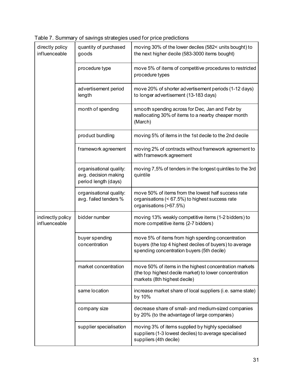Table 7. Summary of savings strategies used for price predictions

| directly policy<br>influenceable   | quantity of purchased<br>goods                                          | moving 30% of the lower deciles (582< units bought) to<br>the next higher decile (583-3000 items bought)                                                   |
|------------------------------------|-------------------------------------------------------------------------|------------------------------------------------------------------------------------------------------------------------------------------------------------|
|                                    | procedure type                                                          | move 5% of items of competitive procedures to restricted<br>procedure types                                                                                |
|                                    | advertisement period<br>length                                          | move 20% of shorter advertisement periods (1-12 days)<br>to longer advertisement (13-183 days)                                                             |
|                                    | month of spending                                                       | smooth spending across for Dec, Jan and Febr by<br>reallocating 30% of items to a nearby cheaper month<br>(March)                                          |
|                                    | product bundling                                                        | moving 5% of items in the 1st decile to the 2nd decile                                                                                                     |
|                                    | framework agreement                                                     | moving 2% of contracts without framework agreement to<br>with framework agreement                                                                          |
|                                    | organisational quality:<br>avg. decision making<br>period length (days) | moving 7,5% of tenders in the longest quintiles to the 3rd<br>quintile                                                                                     |
|                                    | organisational quality:<br>avg. failed tenders %                        | move 50% of items from the lowest half success rate<br>organisations (< 67.5%) to highest success rate<br>organisations (>67.5%)                           |
| indirectly policy<br>influenceable | bidder number                                                           | moving 13% weakly competitive items (1-2 bidders) to<br>more competitive items (2-7 bidders)                                                               |
|                                    | buyer spending<br>concentration                                         | move 5% of items from high spending concentration<br>buyers (the top 4 highest deciles of buyers) to average<br>spending concentration buyers (5th decile) |
|                                    | market concentration                                                    | move 50% of items in the highest concentration markets<br>(the top highest decile market) to lower concentration<br>markets (8th highest decile)           |
|                                    | same location                                                           | increase market share of local suppliers (i.e. same state)<br>by 10%                                                                                       |
|                                    | company size                                                            | decrease share of small- and medium-sized companies<br>by 20% (to the advantage of large companies)                                                        |
|                                    | supplier specialisation                                                 | moving 3% of items supplied by highly specialised<br>suppliers (1-3 lowest deciles) to average specialised<br>suppliers (4th decile)                       |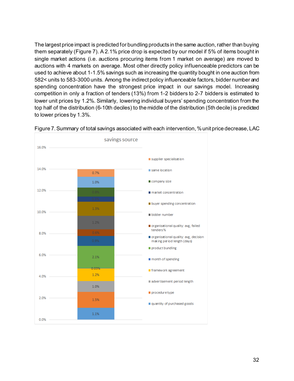The largest price impact is predicted for bundling products in the same auction, rather than buying them separately (Figure 7). A 2.1% price drop is expected by our model if 5% of items bought in single market actions (i.e. auctions procuring items from 1 market on average) are moved to auctions with 4 markets on average. Most other directly policy influenceable predictors can be used to achieve about 1-1.5% savings such as increasing the quantity bought in one auction from 582< units to 583-3000 units. Among the indirect policy influenceable factors, bidder number and spending concentration have the strongest price impact in our savings model. Increasing competition in only a fraction of tenders (13%) from 1-2 bidders to 2-7 bidders is estimated to lower unit prices by 1.2%. Similarly, lowering individual buyers' spending concentration from the top half of the distribution (6-10th deciles) to the middle of the distribution (5th decile) is predicted to lower prices by 1.3%.



Figure 7. Summary of total savings associated with each intervention, % unit price decrease, LAC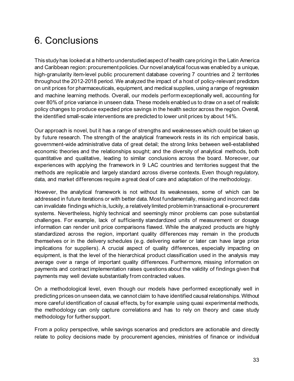## 6. Conclusions

This study has looked at a hitherto understudied aspect of health care pricing in the Latin America and Caribbean region: procurement policies. Our novel analytical focus was enabled by a unique, high-granularity item-level public procurement database covering 7 countries and 2 territories throughout the 2012-2018 period. We analyzed the impact of a host of policy-relevant predictors on unit prices for pharmaceuticals, equipment, and medical supplies, using a range of regression and machine learning methods. Overall, our models perform exceptionally well, accounting for over 80% of price variance in unseen data. These models enabled us to draw on a set of realistic policy changes to produce expected price savings in the health sector across the region. Overall, the identified small-scale interventions are predicted to lower unit prices by about 14%.

Our approach is novel, but it has a range of strengths and weaknesses which could be taken up by future research. The strength of the analytical framework rests in its rich empirical basis, government-wide administrative data of great detail; the strong links between well-established economic theories and the relationships sought; and the diversity of analytical methods, both quantitative and qualitative, leading to similar conclusions across the board. Moreover, our experiences with applying the framework in 9 LAC countries and territories suggest that the methods are replicable and largely standard across diverse contexts. Even though regulatory, data, and market differences require a great deal of care and adaptation of the methodology.

However, the analytical framework is not without its weaknesses, some of which can be addressed in future iterations or with better data. Most fundamentally, missing and incorrect data can invalidate findings which is, luckily, a relatively limited problemin transactional e-procurement systems. Nevertheless, highly technical and seemingly minor problems can pose substantial challenges. For example, lack of sufficiently standardized units of measurement or dosage information can render unit price comparisons flawed. While the analyzed products are highly standardized across the region, important quality differences may remain in the products themselves or in the delivery schedules (e.g. delivering earlier or later can have large price implications for suppliers). A crucial aspect of quality differences, especially impacting on equipment, is that the level of the hierarchical product classification used in the analysis may average over a range of important quality differences. Furthermore, missing information on payments and contract implementation raises questions about the validity of findings given that payments may well deviate substantially from contracted values.

On a methodological level, even though our models have performed exceptionally well in predicting prices on unseen data, we cannot claim to have identified causal relationships. Without more careful identification of causal effects, by for example using quasi experimental methods, the methodology can only capture correlations and has to rely on theory and case study methodology for further support.

From a policy perspective, while savings scenarios and predictors are actionable and directly relate to policy decisions made by procurement agencies, ministries of finance or individual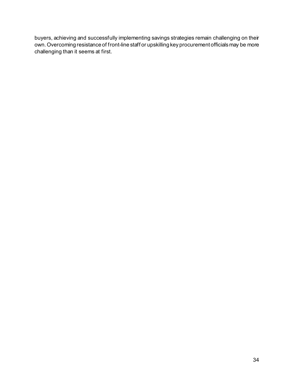buyers, achieving and successfully implementing savings strategies remain challenging on their own. Overcoming resistance of front-line staff or upskilling key procurement officials may be more challenging than it seems at first.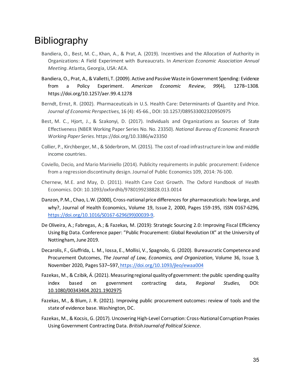### Bibliography

- Bandiera, O., Best, M. C., Khan, A., & Prat, A. (2019). Incentives and the Allocation of Authority in Organizations: A Field Experiment with Bureaucrats. In *American Economic Association Annual Meeting*. Atlanta, Georgia, USA: AEA.
- Bandiera, O., Prat, A., & Valletti, T. (2009). Active and Passive Waste in Government Spending: Evidence from a Policy Experiment. *American Economic Review*, *99*(4), 1278–1308. https://doi.org/10.1257/aer.99.4.1278
- Berndt, Ernst, R. (2002). Pharmaceuticals in U.S. Health Care: Determinants of Quantity and Price. *Journal of Economic Perspectives*, 16 (4): 45-66., DOI: 10.1257/089533002320950975
- Best, M. C., Hjort, J., & Szakonyi, D. (2017). Individuals and Organizations as Sources of State Effectiveness (NBER Working Paper Series No. No. 23350). *National Bureau of Economic Research Working Paper Series*. https://doi.org/10.3386/w23350
- Collier, P., Kirchberger, M., & Söderbrom, M. (2015). The cost of road infrastructure in low and middle income countries.
- Coviello, Decio, and Mario Mariniello (2014). Publicity requirements in public procurement: Evidence from a regression discontinuity design. Journal of Public Economics 109, 2014: 76-100.
- Chernew, M.E. and May, D. (2011). Health Care Cost Growth. The Oxford Handbook of Health Economics. DOI: 10.1093/oxfordhb/9780199238828.013.0014
- Danzon, P.M., Chao, L.W. (2000), Cross-national price differences for pharmaceuticals: how large, and why?, Journal of Health Economics, Volume 19, Issue 2, 2000, Pages 159-195, ISSN 0167-6296[,](https://doi.org/10.1016/S0167-6296(99)00039-9) [https://doi.org/10.1016/S0167-6296\(99\)00039-9.](https://doi.org/10.1016/S0167-6296(99)00039-9)
- De Oliveira, A.; Fabregas, A.; & Fazekas, M. (2019): Strategic Sourcing 2.0: Improving Fiscal Efficiency Using Big Data. Conference paper: "Public Procurement: Global Revolution IX" at the University of Nottingham, June 2019.
- Decarolis, F., Giuffrida, L. M., Iossa, E., Mollisi, V., Spagnolo, G. (2020). Bureaucratic Competence and Procurement Outcomes, *The Journal of Law, Economics, and Organization*, Volume 36, Issue 3, November 2020, Pages 537–59[7,](https://doi.org/10.1093/jleo/ewaa004) <https://doi.org/10.1093/jleo/ewaa004>
- Fazekas, M., & Czibik, Á. (2021). Measuring regional quality of government: the public spending quality index based on government contracting data, *Regional Studies*, DOI[:](https://doi.org/10.1080/00343404.2021.1902975) [10.1080/00343404.2021.1902975](https://doi.org/10.1080/00343404.2021.1902975)
- Fazekas, M., & Blum, J. R. (2021). Improving public procurement outcomes: review of tools and the state of evidence base. Washington, DC.
- Fazekas, M., & Kocsis, G. (2017). Uncovering High-Level Corruption: Cross-National Corruption Proxies Using Government Contracting Data. *British Journal of Political Science*.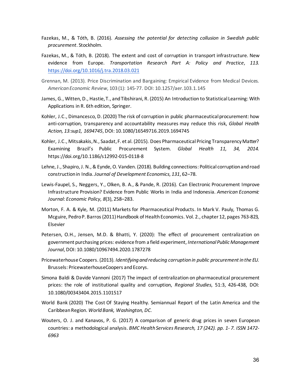- Fazekas, M., & Tóth, B. (2016). *Assessing the potential for detecting collusion in Swedish public procurement*. Stockholm.
- Fazekas, M., & Tóth, B. (2018). The extent and cost of corruption in transport infrastructure. New evidence from Europe. *Transportation Research Part A: Policy and Practice*, *113*[.](https://doi.org/10.1016/j.tra.2018.03.021) <https://doi.org/10.1016/j.tra.2018.03.021>
- Grennan, M. (2013). Price Discrimination and Bargaining: Empirical Evidence from Medical Devices. *American Economic Review*, 103 (1): 145-77. DOI: 10.1257/aer.103.1.145
- James, G., Witten, D., Hastie, T., and Tibshirani, R. (2015) An Introduction to Statistical Learning: With Applications in R. 6th edition, Springer.
- Kohler, J.C., Dimancesco, D. (2020) The risk of corruption in public pharmaceutical procurement: how anti-corruption, transparency and accountability measures may reduce this risk, *Global Health Action, 13:sup1, 1694745*, DOI: 10.1080/16549716.2019.1694745
- Kohler, J.C., Mitsakakis, N., Saadat, F. et al. (2015). Does Pharmaceutical Pricing Transparency Matter? Examining Brazil's Public Procurement System. *Global Health 11, 34, 2014*. https://doi.org/10.1186/s12992-015-0118-8
- Lehne, J., Shapiro, J. N., & Eynde, O. Vanden. (2018). Building connections: Political corruption and road construction in India. *Journal of Development Economics*, *131*, 62–78.
- Lewis-Faupel, S., Neggers, Y., Olken, B. A., & Pande, R. (2016). Can Electronic Procurement Improve Infrastructure Provision? Evidence from Public Works in India and Indonesia. *American Economic Journal: Economic Policy*, *8*(3), 258–283.
- Morton, F. A. & Kyle, M. (2011) Markets for Pharmaceutical Products. In Mark V. Pauly, Thomas G. Mcguire, Pedro P. Barros (2011) Handbook of Health Economics. Vol. 2., chapter 12, pages 763-823, Elsevier
- Petersen, O.H., Jensen, M.D. & Bhatti, Y. (2020): The effect of procurement centralization on government purchasing prices: evidence from a field experiment, *International Public Management Journal*, DOI: 10.1080/10967494.2020.1787278
- Pricewaterhouse Coopers. (2013). *Identifying and reducing corruption in public procurement in the EU*. Brussels: PricewaterhouseCoopers and Ecorys.
- Simona Baldi & Davide Vannoni (2017) The impact of centralization on pharmaceutical procurement prices: the role of institutional quality and corruption, *Regional Studies*, 51:3, 426-438, DOI: 10.1080/00343404.2015.1101517
- World Bank (2020) The Cost Of Staying Healthy. Semiannual Report of the Latin America and the Caribbean Region. *World Bank, Washington, DC*.
- Wouters, O. J. and Kanavos, P. G. (2017) A comparison of generic drug prices in seven European countries: a methodological analysis. *BMC Health Services Research, 17 (242). pp. 1- 7. ISSN 1472- 6963*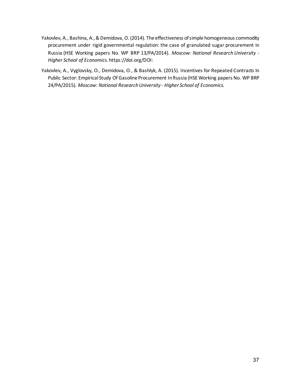- Yakovlev, A., Bashina, A., & Demidova, O. (2014). The effectiveness of simple homogeneous commodity procurement under rigid governmental regulation: the case of granulated sugar procurement in Russia (HSE Working papers No. WP BRP 13/PA/2014). *Moscow: National Research University - Higher School of Economics*. https://doi.org/DOI:
- Yakovlev, A., Vyglovsky, O., Demidova, O., & Bashlyk, A. (2015). Incentives for Repeated Contracts In Public Sector: Empirical Study Of Gasoline Procurement In Russia (HSE Working papers No. WP BRP 24/PA/2015). *Moscow: National Research University - Higher School of Economics.*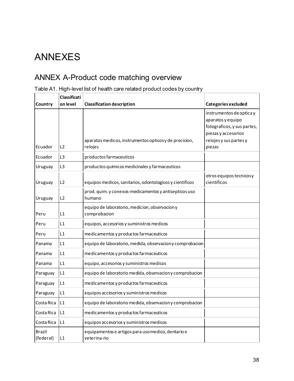# ANNEXES

### ANNEX A-Product code matching overview

|                            | Classificati   |                                                                    |                                                                                                                                         |
|----------------------------|----------------|--------------------------------------------------------------------|-----------------------------------------------------------------------------------------------------------------------------------------|
| Country                    | on level       | <b>Classification description</b>                                  | Categories excluded                                                                                                                     |
| Ecuador                    | L2             | aparatos medicos, instrumentos opticos y de precision,<br>relojes  | instrumentos de optica y<br>aparatos y equipo<br>fotograficos, y sus partes,<br>piezas y accesorios<br>relojes y sus partes y<br>piezas |
| Ecuador                    | L <sub>3</sub> | productos farmaceuticos                                            |                                                                                                                                         |
| Uruguay                    | L <sub>3</sub> | productos quimicos medicinales y farmaceuticos                     |                                                                                                                                         |
| Uruguay                    | L2             | equipos medicos, sanitarios, odontologicos y cientificos           | otros equipos tecnicosy<br>cientificos                                                                                                  |
| Uruguay                    | L2             | prod. quim. y conexos-medicamentos y antisepticos uso<br>humano    |                                                                                                                                         |
| Peru                       | L1             | equipo de laboratorio, medicion, observacion y<br>comprobacion     |                                                                                                                                         |
| Peru                       | L1             | equipos, accesorios y suministros medicos                          |                                                                                                                                         |
| Peru                       | L1             | medicamentos y productos farmaceuticos                             |                                                                                                                                         |
| Panama                     | L1             | equipo de laboratorio, medida, observacion y comprobacion          |                                                                                                                                         |
| Panama                     | L1             | medicamentos y productos farmaceuticos                             |                                                                                                                                         |
| Panama                     | L1             | equipo, accesorios y suministros medicos                           |                                                                                                                                         |
| Paraguay                   | L1             | equipo de laboratorio medida, observacion y comprobacion           |                                                                                                                                         |
| Paraguay                   | L1             | medicamentos y productos farmaceuticos                             |                                                                                                                                         |
| Paraguay                   | L1             | equipos accesorios y suministros medicos                           |                                                                                                                                         |
| Costa Rica                 | L1             | equipo de laboratorio medida, observacion y comprobacion           |                                                                                                                                         |
| Costa Rica                 | L1             | medicamentos y productos farmaceuticos                             |                                                                                                                                         |
| Costa Rica                 | L1             | equipos accesorios y suministros medicos                           |                                                                                                                                         |
| <b>Brazil</b><br>(federal) | L1             | equipamentos e artigos para uso medico, dentario e<br>veterina-rio |                                                                                                                                         |

#### Table A1. High-level list of health care related product codes by country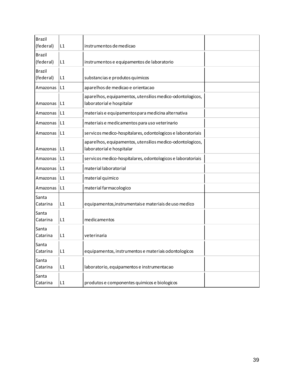| <b>Brazil</b><br>(federal) | L1 | instrumentos de medicao                                                                |  |
|----------------------------|----|----------------------------------------------------------------------------------------|--|
| <b>Brazil</b><br>(federal) | L1 | instrumentos e equipamentos de laboratorio                                             |  |
| <b>Brazil</b><br>(federal) | L1 | substancias e produtos quimicos                                                        |  |
| Amazonas                   | L1 | aparelhos de medicao e orientacao                                                      |  |
| Amazonas                   | L1 | aparelhos, equipamentos, utensilios medico-odontologicos,<br>laboratorial e hospitalar |  |
| Amazonas                   | L1 | materiais e equipamentos para medicina alternativa                                     |  |
| Amazonas                   | L1 | materiais e medicamentos para uso veterinario                                          |  |
| Amazonas                   | L1 | servicos medico-hospitalares, odontologicos e laboratoriais                            |  |
| Amazonas                   | L1 | aparelhos, equipamentos, utensilios medico-odontologicos,<br>laboratorial e hospitalar |  |
| Amazonas                   | L1 | servicos medico-hospitalares, odontologicos e laboratoriais                            |  |
| Amazonas                   | L1 | material laboratorial                                                                  |  |
| Amazonas                   | L1 | material quimico                                                                       |  |
| Amazonas                   | L1 | material farmacologico                                                                 |  |
| Santa<br>Catarina          | L1 | equipamentos, instrumentais e materiais de uso medico                                  |  |
| Santa<br>Catarina          | L1 | medicamentos                                                                           |  |
| Santa<br>Catarina          | L1 | veterinaria                                                                            |  |
| Santa<br>Catarina          | L1 | equipamentos, instrumentos e materiais odontologicos                                   |  |
| Santa<br>Catarina          | L1 | laboratorio, equipamentos e instrumentacao                                             |  |
| Santa<br>Catarina          | L1 | produtos e componentes quimicos e biologicos                                           |  |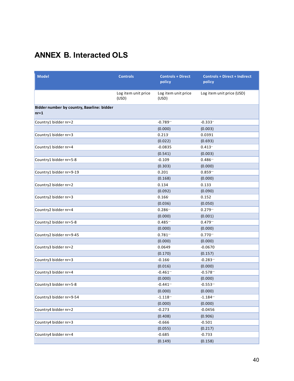### **ANNEX B. Interacted OLS**

| <b>Model</b>                                         | <b>Controls</b>              | <b>Controls + Direct</b><br>policy | <b>Controls + Direct + Indirect</b><br>policy |
|------------------------------------------------------|------------------------------|------------------------------------|-----------------------------------------------|
|                                                      | Log item unit price<br>(USD) | Log item unit price<br>(USD)       | Log item unit price (USD)                     |
| Bidder number by country, Baseline: bidder<br>$nr=1$ |                              |                                    |                                               |
| Country1 bidder nr=2                                 |                              | $-0.789$                           | $-0.333$                                      |
|                                                      |                              | (0.000)                            | (0.003)                                       |
| Country1 bidder nr=3                                 |                              | 0.213                              | 0.0391                                        |
|                                                      |                              | (0.022)                            | (0.693)                                       |
| Country1 bidder nr=4                                 |                              | $-0.0835$                          | $0.413 -$                                     |
|                                                      |                              | (0.541)                            | (0.003)                                       |
| Country1 bidder nr=5-8                               |                              | $-0.109$                           | $0.486 -$                                     |
|                                                      |                              | (0.303)                            | (0.000)                                       |
| Country1 bidder nr=9-19                              |                              | 0.201                              | $0.859 -$                                     |
|                                                      |                              | (0.168)                            | (0.000)                                       |
| Country2 bidder nr=2                                 |                              | 0.134                              | 0.133                                         |
|                                                      |                              | (0.092)                            | (0.090)                                       |
| Country2 bidder nr=3                                 |                              | 0.166                              | 0.152                                         |
|                                                      |                              | (0.036)                            | (0.050)                                       |
| Country2 bidder nr=4                                 |                              | $0.286 -$                          | $0.279 -$                                     |
|                                                      |                              | (0.000)                            | (0.001)                                       |
| Country2 bidder nr=5-8                               |                              | $0.485 -$                          | $0.479 -$                                     |
|                                                      |                              | (0.000)                            | (0.000)                                       |
| Country2 bidder nr=9-45                              |                              | $0.781 -$                          | 0.770                                         |
|                                                      |                              | (0.000)                            | (0.000)                                       |
| Country3 bidder nr=2                                 |                              | 0.0649                             | $-0.0670$                                     |
|                                                      |                              | (0.170)                            | (0.157)                                       |
| Country3 bidder nr=3                                 |                              | $-0.166$                           | $-0.283$ <sup>**</sup>                        |
|                                                      |                              | (0.016)                            | (0.000)                                       |
| Country3 bidder nr=4                                 |                              | $-0.461$ <sup>**</sup>             | $-0.578$ <sup>**</sup>                        |
|                                                      |                              | (0.000)                            | (0.000)                                       |
| Country3 bidder nr=5-8                               |                              | $-0.441$ <sup>**</sup>             | $-0.553 -$                                    |
|                                                      |                              | (0.000)                            | (0.000)                                       |
| Country3 bidder nr=9-54                              |                              | $-1.118$                           | $-1.184 -$                                    |
|                                                      |                              | (0.000)                            | (0.000)                                       |
| Country4 bidder nr=2                                 |                              | $-0.273$                           | $-0.0456$                                     |
|                                                      |                              | (0.408)                            | (0.906)                                       |
| Country4 bidder nr=3                                 |                              | $-0.666$                           | $-0.501$                                      |
|                                                      |                              | (0.055)                            | (0.217)                                       |
| Country4 bidder nr=4                                 |                              | $-0.685$                           | $-0.733$                                      |
|                                                      |                              | (0.149)                            | (0.158)                                       |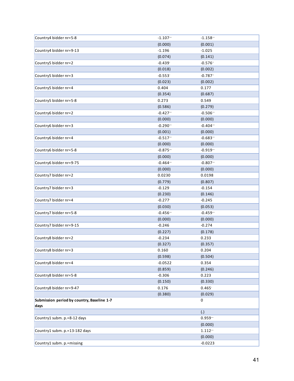| Country4 bidder nr=5-8                             | $-1.107$ <sup>**</sup> | $-1.158$ <sup>**</sup> |  |
|----------------------------------------------------|------------------------|------------------------|--|
|                                                    | (0.000)                | (0.001)                |  |
| Country4 bidder nr=9-13                            | $-1.196$               | $-1.025$               |  |
|                                                    | (0.074)                | (0.141)                |  |
| Country5 bidder nr=2                               | $-0.439$               | $-0.576$               |  |
|                                                    | (0.018)                | (0.002)                |  |
| Country5 bidder nr=3                               | $-0.553$               | $-0.787$               |  |
|                                                    | (0.023)                | (0.002)                |  |
| Country5 bidder nr=4                               | 0.404                  | 0.177                  |  |
|                                                    | (0.354)                | (0.687)                |  |
| Country5 bidder nr=5-8                             | 0.273                  | 0.549                  |  |
|                                                    | (0.586)                | (0.279)                |  |
| Country6 bidder nr=2                               | $-0.427$ **            | $-0.506$ <sup>**</sup> |  |
|                                                    | (0.000)                | (0.000)                |  |
| Country6 bidder nr=3                               | $-0.290$ <sup>**</sup> | $-0.404$               |  |
|                                                    | (0.001)                | (0.000)                |  |
| Country6 bidder nr=4                               | $-0.517$ **            | $-0.683 -$             |  |
|                                                    | (0.000)                | (0.000)                |  |
| Country6 bidder nr=5-8                             | $-0.875$ <sup>**</sup> | $-0.919$               |  |
|                                                    | (0.000)                | (0.000)                |  |
| Country6 bidder nr=9-75                            | $-0.464$               | $-0.807$               |  |
|                                                    | (0.000)                | (0.000)                |  |
| Country7 bidder nr=2                               | 0.0230                 | 0.0198                 |  |
|                                                    | (0.779)                | (0.807)                |  |
| Country7 bidder nr=3                               | $-0.129$               | $-0.154$               |  |
|                                                    | (0.230)                | (0.146)                |  |
| Country7 bidder nr=4                               | $-0.277$               | $-0.245$               |  |
|                                                    | (0.030)                | (0.053)                |  |
| Country7 bidder nr=5-8                             | $-0.456$ <sup>**</sup> | $-0.459 -$             |  |
|                                                    | (0.000)                | (0.000)                |  |
| Country7 bidder nr=9-15                            | $-0.246$               | $-0.274$               |  |
|                                                    | (0.227)                | (0.178)                |  |
| Country8 bidder nr=2                               | $-0.234$               | 0.233                  |  |
|                                                    | (0.327)                | (0.357)                |  |
| Country8 bidder nr=3                               | 0.160                  | 0.204                  |  |
|                                                    | (0.598)                | (0.504)                |  |
| Country8 bidder nr=4                               | $-0.0522$              | 0.354                  |  |
|                                                    | (0.859)                | (0.246)                |  |
| Country8 bidder nr=5-8                             | $-0.306$               | 0.223                  |  |
|                                                    | (0.150)                | (0.330)                |  |
| Country8 bidder nr=9-47                            | 0.176                  | 0.465                  |  |
|                                                    | (0.380)                | (0.029)                |  |
| Submission period by country, Baseline 1-7<br>days |                        | 0                      |  |
|                                                    |                        | (.)                    |  |
| Country1 subm. p.=8-12 days                        |                        | $0.959 -$              |  |
|                                                    |                        | (0.000)                |  |
| Country1 subm. p.=13-182 days                      |                        | $1.112 -$              |  |
|                                                    |                        | (0.000)                |  |
| Country1 subm. p.=missing                          |                        | $-0.0223$              |  |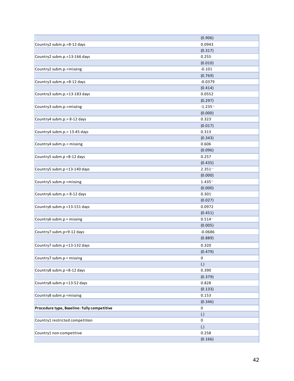|                                             | (0.906)                |
|---------------------------------------------|------------------------|
| Country2 subm.p.=8-12 days                  | 0.0943                 |
|                                             | (0.317)                |
| Country2 subm.p.=13-166 days                | $0.255^{\circ}$        |
|                                             | (0.010)                |
| Country2 subm.p.=missing                    | $-0.101$               |
|                                             | (0.769)                |
| Country3 subm.p.=8-12 days                  | $-0.0379$              |
|                                             | (0.414)                |
| Country3 subm.p.=13-183 days                | 0.0552                 |
|                                             | (0.297)                |
| Country3 subm.p.=missing                    | $-1.235$ <sup>**</sup> |
|                                             | (0.000)                |
| Country4 subm.p. = 8-12 days                | 0.323                  |
|                                             | (0.017)                |
| Country4 subm.p.= 13-45 days                | 0.313                  |
|                                             | (0.343)                |
| Country4 subm.p.= missing                   | 0.606                  |
|                                             | (0.096)                |
| Country5 subm.p =8-12 days                  | 0.257                  |
|                                             | (0.435)                |
| Country5 subm.p = 13-140 days               | $2.351 -$              |
|                                             | (0.000)                |
| Country5 subm.p = missing                   | $1.435 -$              |
|                                             | (0.000)                |
| Country6 subm.p. = 8-12 days                | 0.301                  |
|                                             | (0.027)                |
| Country6 subm.p = 13-151 days               | 0.0972                 |
|                                             | (0.451)                |
| Country6 subm.p = missing                   | $0.514 -$              |
|                                             | (0.005)                |
| Country7 subm.p=9-12 days                   | $-0.0686$              |
|                                             | (0.889)                |
| Country7 subm.p = 13-132 days               | 0.320                  |
|                                             | (0.479)                |
| Country7 subm.p = missing                   | $\mathsf 0$            |
|                                             | (.)                    |
| Country8 subm.p =8-12 days                  | 0.390                  |
|                                             | (0.379)                |
| Country8 subm.p = 13-52 days                | 0.828                  |
|                                             | (0.133)                |
| Country8 subm.p = missing                   | 0.153                  |
|                                             | (0.346)                |
| Procedure type, Baseline: fully competitive | $\pmb{0}$              |
|                                             | (.)                    |
| Country1 restricted competition             | 0                      |
|                                             | (.)                    |
| Country1 non-competitive                    | 0.258                  |
|                                             | (0.166)                |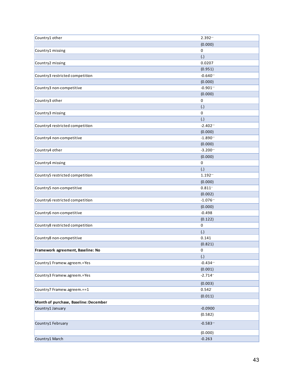| Country1 other                        | 2.392"                            |
|---------------------------------------|-----------------------------------|
|                                       | (0.000)                           |
| Country1 missing                      | 0                                 |
|                                       | (.)                               |
| Country2 missing                      | 0.0207                            |
|                                       | (0.951)                           |
| Country3 restricted competition       | $-0.640$ <sup>**</sup>            |
|                                       | (0.000)                           |
| Country3 non-competitive              | $-0.901$ <sup>**</sup>            |
|                                       | (0.000)                           |
| Country3 other                        | $\pmb{0}$                         |
|                                       | (.)                               |
| Country3 missing                      | 0                                 |
|                                       | (.)                               |
| Country4 restricted competition       | $-2.402$                          |
|                                       | (0.000)                           |
| Country4 non-competitive              | $-1.890$ <sup>**</sup>            |
|                                       | (0.000)                           |
| Country4 other                        | $-3.200$ <sup>**</sup>            |
|                                       | (0.000)                           |
| Country4 missing                      | $\pmb{0}$                         |
|                                       | (.)                               |
| Country5 restricted competition       | $1.192 -$                         |
|                                       | (0.000)                           |
| Country5 non-competitive              | $0.811 -$                         |
| Country6 restricted competition       | (0.002)<br>$-1.076$ <sup>**</sup> |
|                                       | (0.000)                           |
| Country6 non-competitive              | $-0.498$                          |
|                                       | (0.122)                           |
| Country8 restricted competition       | 0                                 |
|                                       | (.)                               |
| Country8 non-competitive              | 0.141                             |
|                                       | (0.821)                           |
| Framework agreement, Baseline: No     | 0                                 |
|                                       | $\left( . \right)$                |
| Country1 Framew.agreem.=Yes           | $-0.434$ <sup>**</sup>            |
|                                       | (0.001)                           |
| Country3 Framew.agreem.=Yes           | $-2.714$                          |
|                                       | (0.003)                           |
| Country7 Framew.agreem.==1            | 0.542                             |
|                                       | (0.011)                           |
| Month of purchase, Baseline: December |                                   |
| Country1 January                      | $-0.0900$                         |
|                                       | (0.582)                           |
|                                       |                                   |
| Country1 February                     | $-0.583$ <sup>**</sup>            |
|                                       | (0.000)                           |
| Country1 March                        | $-0.263$                          |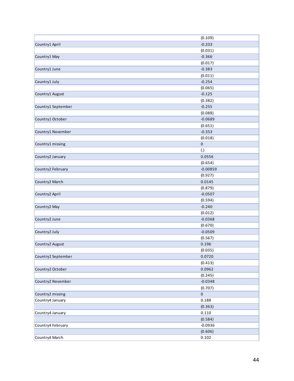|                    | (0.109)              |
|--------------------|----------------------|
| Country1 April     | $-0.333$             |
|                    | (0.031)              |
| Country1 May       | $-0.366$             |
|                    | (0.017)              |
| Country1 June      | $-0.383$             |
|                    | (0.011)              |
| Country1 July      | $-0.254$             |
|                    | (0.065)              |
| Country1 August    | $-0.125$             |
|                    | (0.382)              |
| Country1 September | $-0.255$             |
|                    |                      |
|                    | (0.088)<br>$-0.0689$ |
| Country1 October   |                      |
|                    | (0.651)              |
| Country1 November  | $-0.353$             |
|                    | (0.018)              |
| Country1 missing   | 0                    |
|                    | $\left(.\right)$     |
| Country2 January   | 0.0556               |
|                    | (0.654)              |
| Country2 February  | $-0.00859$           |
|                    | (0.927)              |
| Country2 March     | 0.0145               |
|                    | (0.879)              |
| Country2 April     | $-0.0507$            |
|                    | (0.594)              |
| Country2 May       | $-0.240$             |
|                    | (0.012)              |
| Country2 June      | $-0.0368$            |
|                    | (0.670)              |
| Country2 July      | $-0.0509$            |
|                    | (0.567)              |
| Country2 August    | 0.196                |
|                    | (0.035)              |
| Country2 September | 0.0720               |
|                    | (0.413)              |
| Country2 October   | 0.0962               |
|                    | (0.245)              |
| Country2 November  | $-0.0348$            |
|                    | (0.707)              |
| Country2 missing   | $\pmb{0}$            |
| Country4 January   | 0.188                |
|                    | (0.363)              |
| Country4 January   | 0.110                |
|                    | (0.584)              |
| Country4 February  | $-0.0936$            |
|                    | (0.606)              |
| Country4 March     | 0.102                |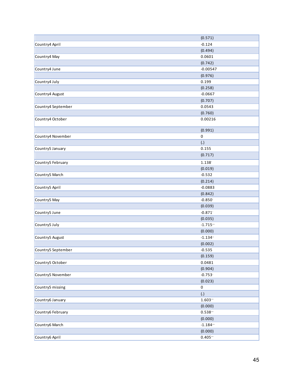|                    | (0.571)                |
|--------------------|------------------------|
| Country4 April     | $-0.124$               |
|                    | (0.494)                |
| Country4 May       | 0.0601                 |
|                    | (0.742)                |
| Country4 June      | $-0.00547$             |
|                    | (0.976)                |
| Country4 July      | 0.199                  |
|                    | (0.258)                |
| Country4 August    | $-0.0667$              |
|                    | (0.707)                |
| Country4 September | 0.0543                 |
|                    | (0.760)                |
| Country4 October   | 0.00216                |
|                    | (0.991)                |
| Country4 November  | 0                      |
|                    | $\left( . \right)$     |
| Country5 January   | 0.155                  |
|                    | (0.717)                |
| Country5 February  | 1.138                  |
|                    | (0.019)                |
| Country5 March     | $-0.532$               |
|                    | (0.214)                |
| Country5 April     | $-0.0883$              |
|                    | (0.842)                |
| Country5 May       | $-0.850$               |
|                    | (0.039)                |
| Country5 June      | $-0.871$               |
|                    | (0.035)                |
| Country5 July      | $-1.715$ <sup>**</sup> |
|                    | (0.000)                |
| Country5 August    | $-1.134$               |
|                    | (0.002)                |
| Country5 September | $-0.535$               |
|                    | (0.159)                |
| Country5 October   | 0.0481                 |
|                    | (0.904)                |
| Country5 November  | $-0.753$               |
|                    | (0.023)                |
| Country5 missing   | 0                      |
|                    | $\left( . \right)$     |
| Country6 January   | $1.603 -$              |
|                    | (0.000)                |
| Country6 February  | $0.538 -$              |
|                    | (0.000)                |
| Country6 March     | $-1.184$ <sup>**</sup> |
|                    | (0.000)                |
| Country6 April     | $0.405 -$              |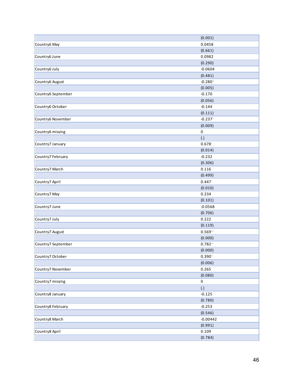|                    | (0.001)             |
|--------------------|---------------------|
| Country6 May       | 0.0458              |
|                    | (0.661)             |
| Country6 June      | 0.0982              |
|                    | (0.290)             |
| Country6 July      | $-0.0604$           |
|                    | (0.481)             |
| Country6 August    | $-0.280$            |
|                    | (0.005)             |
| Country6 September | $-0.170$            |
|                    | (0.056)             |
| Country6 October   | $-0.144$            |
|                    |                     |
|                    | (0.111)<br>$-0.237$ |
| Country6 November  |                     |
|                    | (0.009)             |
| Country6 missing   | 0                   |
|                    | $\left( . \right)$  |
| Country7 January   | 0.678               |
|                    | (0.014)             |
| Country7 February  | $-0.232$            |
|                    | (0.306)             |
| Country7 March     | 0.116               |
|                    | (0.499)             |
| Country7 April     | 0.447               |
|                    | (0.010)             |
| Country7 May       | 0.234               |
|                    | (0.101)             |
| Country7 June      | $-0.0568$           |
|                    | (0.706)             |
| Country7 July      | 0.222               |
|                    | (0.119)             |
| Country7 August    | $0.569 -$           |
|                    | (0.000)             |
| Country7 September | $0.782 -$           |
|                    | (0.000)             |
| Country7 October   | $0.390 -$           |
|                    | (0.006)             |
| Country7 November  | 0.265               |
|                    | (0.080)             |
| Country7 missing   | 0                   |
|                    | $\left( . \right)$  |
| Country8 January   | $-0.125$            |
|                    | (0.780)             |
| Country8 February  | $-0.253$            |
|                    | (0.546)             |
| Country8 March     | $-0.00442$          |
|                    | (0.991)             |
| Country8 April     | 0.109               |
|                    | (0.784)             |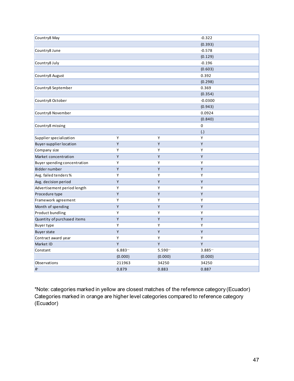| Country8 May                   |           |           | $-0.322$              |
|--------------------------------|-----------|-----------|-----------------------|
|                                |           |           | (0.393)               |
| Country8 June                  |           |           | $-0.578$              |
|                                |           |           | (0.129)               |
| Country8 July                  |           |           | $-0.196$              |
|                                |           |           | (0.603)               |
| Country8 August                |           |           | 0.392                 |
|                                |           |           | (0.298)               |
| Country8 September             |           |           | 0.369                 |
|                                |           |           | (0.354)               |
| Country8 October               |           |           | $-0.0300$             |
|                                |           |           | (0.943)               |
| Country8 November              |           |           | 0.0924                |
|                                |           |           | (0.840)               |
| Country8 missing               |           |           | 0                     |
|                                |           |           | (.)                   |
| Supplier specialization        | Υ         | Y         | Υ                     |
| <b>Buyer-supplier location</b> | Υ         | Υ         | Y                     |
| Company size                   | Υ         | Υ         | Y                     |
| Market concentration           | Υ         | Y         | Y                     |
| Buyer spending concentration   | Υ         | Υ         | Y                     |
| Bidder number                  | Υ         | Υ         | Υ                     |
| Avg. failed tenders%           | Υ         | Υ         | Υ                     |
| Avg. decision period           | Υ         | Υ         | Y                     |
| Advertisement period length    | Υ         | Υ         | Υ                     |
| Procedure type                 | Υ         | Υ         | Υ                     |
| Framework agreement            | Υ         | Υ         | Υ                     |
| Month of spending              | Υ         | Y         | Y                     |
| Product bundling               | Y         | Υ         | Y                     |
| Quantity of purchased items    | Υ         | Υ         | Υ                     |
| <b>Buyer type</b>              | Υ         | Υ         | Υ                     |
| <b>Buyer state</b>             | Y         | Y         | Y                     |
| Contract award year            | Y         | Υ         | Y                     |
| Market ID                      | Υ         | Υ         | Y                     |
| Constant                       | $6.883 -$ | $5.590 -$ | $3.885$ <sup>**</sup> |
|                                | (0.000)   | (0.000)   | (0.000)               |
| Observations                   | 211963    | 34250     | 34250                 |
| R <sup>2</sup>                 | 0.879     | 0.883     | 0.887                 |

\*Note: categories marked in yellow are closest matches of the reference category (Ecuador) Categories marked in orange are higher level categories compared to reference category (Ecuador)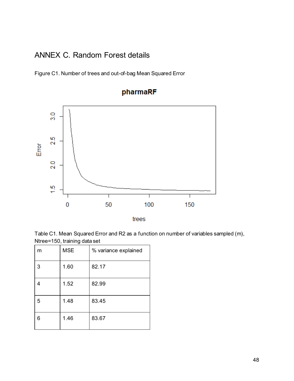#### ANNEX C. Random Forest details

Figure C1. Number of trees and out-of-bag Mean Squared Error





trees

Table C1. Mean Squared Error and R2 as a function on number of variables sampled (m), Ntree=150, training data set

| m | <b>MSE</b> | % variance explained |
|---|------------|----------------------|
| 3 | 1.60       | 82.17                |
|   | 1.52       | 82.99                |
| 5 | 1.48       | 83.45                |
| 6 | 1.46       | 83.67                |